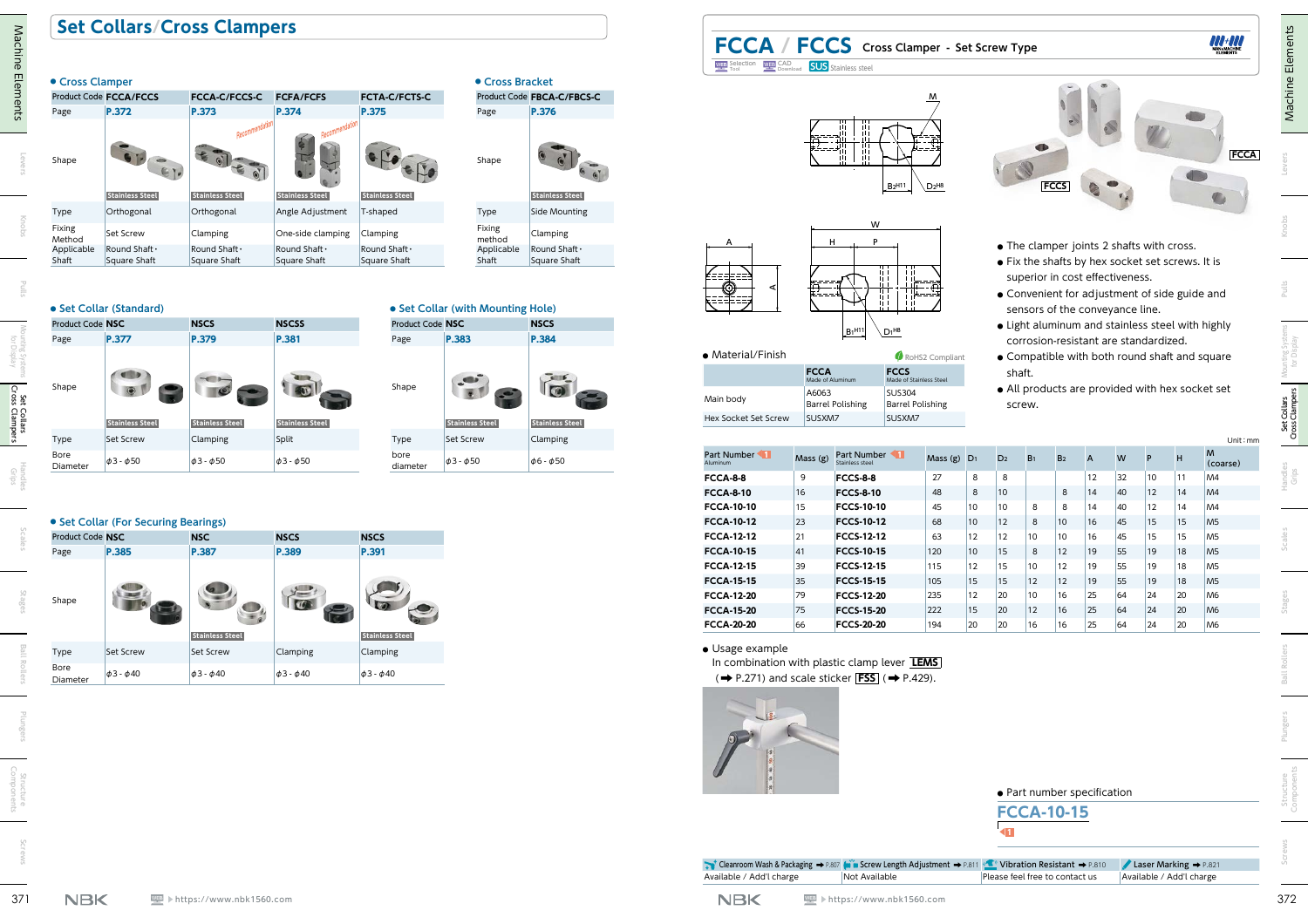## **Set Collars/Cross Clampers**

| • Cross Clamper  | Product Code FCCA/FCCS | <b>FCCA-C/FCCS-C</b>   | <b>FCFA/FCFS</b>                        | <b>FCTA-C/FCTS-C</b>   |
|------------------|------------------------|------------------------|-----------------------------------------|------------------------|
| Page             | P.372                  | P.373                  | P.374                                   | P.375                  |
| Shape            | <b>Stainless Steel</b> | <b>Stainless Steel</b> | Recommendati-<br><b>Stainless Steel</b> | <b>Stainless Steel</b> |
| Type             | Orthogonal             | Orthogonal             | Angle Adjustment                        | T-shaped               |
| Fixing<br>Method | Set Screw              | Clamping               | One-side clamping                       | Clamping               |
| Applicable       | Round Shaft .          | Round Shaft .          | Round Shaft .                           | Round Shaft .          |
| Shaft            | Square Shaft           | Square Shaft           | Square Shaft                            | Square Shaft           |

#### Page **P.376** Shape **Stainless Steel** Type Side Mounting Fixing method Clamping Applicable Shaft Round Shaft・ Square Shaft

### **● Set Collar (Standard)**





### **● Set Collar (For Securing Bearings)**

| <b>Product Code NSC</b> |                      | <b>NSC</b>             | <b>NSCS</b>          | <b>NSCS</b>            |
|-------------------------|----------------------|------------------------|----------------------|------------------------|
| Page                    | P.385                | P.387                  | P.389                | P.391                  |
| Shape                   |                      | <b>Stainless Steel</b> |                      | <b>Stainless Steel</b> |
| Type                    | <b>Set Screw</b>     | Set Screw              | Clamping             | Clamping               |
| Bore<br>Diameter        | $\phi$ 3 - $\phi$ 40 | $\phi$ 3 - $\phi$ 40   | $\phi$ 3 - $\phi$ 40 | $\phi$ 3 - $\phi$ 40   |





## **FCCA / FCCS Cross Clamper - Set Screw Type** Selection WEP SAD **SUS** Stainless steel



| • Material/Finish    |                                  | RoHS2 Compliant                          |
|----------------------|----------------------------------|------------------------------------------|
|                      | <b>FCCA</b><br>Made of Aluminum  | <b>FCCS</b><br>Made of Stainless Steel   |
| Main body            | A6063<br><b>Barrel Polishing</b> | <b>SUS304</b><br><b>Barrel Polishing</b> |
| Hex Socket Set Screw | SUSXM7                           | SUSXM7                                   |

| • Cross Clamper     |                                      |                               |                               |                               | • Cross Bracket                   |                             | <b>WEB</b> Selection WEB CAD<br>Tool Tool                            |                    | <b>SUS</b> Stainless steel                                                                                                                    |                                                                     |             |                                             |                                                                    |                |                |          |              |                                                                                                   |                                  |
|---------------------|--------------------------------------|-------------------------------|-------------------------------|-------------------------------|-----------------------------------|-----------------------------|----------------------------------------------------------------------|--------------------|-----------------------------------------------------------------------------------------------------------------------------------------------|---------------------------------------------------------------------|-------------|---------------------------------------------|--------------------------------------------------------------------|----------------|----------------|----------|--------------|---------------------------------------------------------------------------------------------------|----------------------------------|
|                     | Product Code FCCA/FCCS               | <b>FCCA-C/FCCS-C</b>          | <b>FCFA/FCFS</b>              | FCTA-C/FCTS-C                 |                                   | Product Code FBCA-C/FBCS-C  |                                                                      |                    |                                                                                                                                               |                                                                     |             |                                             |                                                                    |                |                |          |              |                                                                                                   |                                  |
| Page                | P.372                                | P.373                         | P.374                         | P.375                         | Page                              | P.376                       |                                                                      |                    |                                                                                                                                               |                                                                     |             |                                             |                                                                    |                |                |          |              |                                                                                                   |                                  |
| Shape               |                                      |                               |                               |                               | Shape                             |                             |                                                                      |                    |                                                                                                                                               | B <sub>2</sub> H11<br>$D2^{H8}$                                     |             |                                             |                                                                    | <b>FCCS</b>    |                |          |              |                                                                                                   | <b>FCCA</b>                      |
|                     | <b>Stainless Steel</b>               | <b>Stainless Steel</b>        | <b>Stainless Steel</b>        | <b>Stainless Steel</b>        |                                   | <b>Stainless Steel</b>      |                                                                      |                    |                                                                                                                                               |                                                                     |             |                                             |                                                                    |                |                |          |              |                                                                                                   |                                  |
| Type<br>Fixing      | Orthogonal                           | Orthogonal                    | Angle Adjustment              | T-shaped                      | Type<br>Fixing                    | Side Mounting               |                                                                      |                    | W                                                                                                                                             |                                                                     |             |                                             |                                                                    |                |                |          |              |                                                                                                   |                                  |
| Method              | Set Screw                            | Clamping                      | One-side clamping             | Clamping                      | method                            | Clamping                    |                                                                      |                    | P                                                                                                                                             |                                                                     |             |                                             |                                                                    |                |                |          |              |                                                                                                   |                                  |
| Applicable<br>Shaft | Round Shaft .<br>Square Shaft        | Round Shaft .<br>Square Shaft | Round Shaft .<br>Square Shaft | Round Shaft .<br>Square Shaft | Applicable<br>Shaft               | Round Shaft<br>Square Shaft |                                                                      |                    |                                                                                                                                               |                                                                     |             |                                             | • The clamper joints 2 shafts with cross.                          |                |                |          |              | • Fix the shafts by hex socket set screws. It is                                                  |                                  |
| Product Code NSC    | • Set Collar (Standard)              | <b>NSCS</b>                   | <b>NSCSS</b>                  | Product Code NSC              | • Set Collar (with Mounting Hole) | <b>NSCS</b>                 |                                                                      |                    |                                                                                                                                               |                                                                     |             |                                             | superior in cost effectiveness.<br>sensors of the conveyance line. |                |                |          |              | • Convenient for adjustment of side guide and<br>• Light aluminum and stainless steel with highly |                                  |
| Page                | P.377                                | P.379                         | P.381                         | Page                          | P.383                             | P.384                       |                                                                      |                    | B <sub>1</sub> H11                                                                                                                            | $\setminus$ D <sub>1</sub> H <sub>8</sub>                           |             |                                             | corrosion-resistant are standardized.                              |                |                |          |              |                                                                                                   |                                  |
|                     |                                      |                               |                               |                               |                                   |                             | • Material/Finish                                                    |                    |                                                                                                                                               | RoHS2 Compliant                                                     |             |                                             |                                                                    |                |                |          |              | • Compatible with both round shaft and square                                                     |                                  |
|                     |                                      |                               |                               |                               |                                   |                             |                                                                      | <b>FCCA</b>        |                                                                                                                                               | <b>FCCS</b>                                                         |             |                                             | shaft.                                                             |                |                |          |              |                                                                                                   |                                  |
| Shape               |                                      |                               |                               | Shape                         |                                   | $\bullet$                   | Main body                                                            | A6063              | Made of Aluminum<br><b>Barrel Polishing</b>                                                                                                   | Made of Stainless Steel<br><b>SUS304</b><br><b>Barrel Polishing</b> |             |                                             | screw.                                                             |                |                |          |              | • All products are provided with hex socket set                                                   |                                  |
|                     | <b>Stainless Steel</b>               | <b>Stainless Steel</b>        | <b>Stainless Steel</b>        |                               | <b>Stainless Steel</b>            | <b>Stainless Steel</b>      | Hex Socket Set Screw                                                 | SUSXM7             |                                                                                                                                               | SUSXM7                                                              |             |                                             |                                                                    |                |                |          |              |                                                                                                   |                                  |
| Type                | Set Screw                            | Clamping                      | Split                         | Type                          | Set Screw                         | Clamping                    |                                                                      |                    |                                                                                                                                               |                                                                     |             |                                             |                                                                    |                |                |          |              |                                                                                                   | Unit: mm                         |
| Bore<br>Diameter    | $\phi$ 3 - $\phi$ 50                 | $\phi$ 3 - $\phi$ 50          | $\phi$ 3 - $\phi$ 50          | bore<br>diameter              | $\phi$ 3 - $\phi$ 50              | $\phi$ 6 - $\phi$ 50        | Part Number<br>duminum                                               | Mass (g)           | <b>Part Number</b>                                                                                                                            |                                                                     | Mass (g) D1 | D <sub>2</sub>                              | B <sub>1</sub>                                                     | B <sub>2</sub> | $\overline{A}$ | W        | P            | н                                                                                                 | (coarse)                         |
|                     |                                      |                               |                               |                               |                                   |                             | <b>FCCA-8-8</b>                                                      | 9                  | $FCCS-8-8$                                                                                                                                    |                                                                     | 27          | 8<br>-8                                     |                                                                    |                | 12             | 32       | $ 10\rangle$ | 11                                                                                                | M4                               |
|                     |                                      |                               |                               |                               |                                   |                             | <b>FCCA-8-10</b>                                                     | 16                 | <b>FCCS-8-10</b>                                                                                                                              |                                                                     | 48          | 10<br>8                                     |                                                                    | 8              | 14             | 40       | 12           | 14                                                                                                | MA                               |
|                     |                                      |                               |                               |                               |                                   |                             | <b>FCCA-10-10</b>                                                    | 15                 | FCCS-10-10                                                                                                                                    |                                                                     | 45          | 10<br>10 <sup>1</sup>                       | 8                                                                  | 8              | 14             | 40       | $ 12\rangle$ | 14                                                                                                | MA                               |
| Product Code NSC    | • Set Collar (For Securing Bearings) | <b>NSC</b>                    | <b>NSCS</b>                   | <b>NSCS</b>                   |                                   |                             | <b>FCCA-10-12</b><br><b>FCCA-12-12</b>                               | $ 23\rangle$<br>21 | FCCS-10-12<br>FCCS-12-12                                                                                                                      |                                                                     | 68<br>63    | $ 12\rangle$<br>10 <sup>1</sup><br>12<br>12 | 8<br>10                                                            | 10<br>10       | 16<br>16       | 45<br>45 | 15<br>15     | 15<br>15                                                                                          | M <sub>5</sub><br>M <sub>5</sub> |
| Page                | P.385                                | P.387                         | P.389                         | P.391                         |                                   |                             | <b>FCCA-10-15</b>                                                    | 41                 | FCCS-10-15                                                                                                                                    |                                                                     | 120         | 15<br>10 <sup>°</sup>                       | 8                                                                  | 12             | 19             | 55       | $ 19\rangle$ | 18                                                                                                | M <sub>5</sub>                   |
|                     |                                      |                               |                               |                               |                                   |                             | <b>FCCA-12-15</b>                                                    | 39                 | FCCS-12-15                                                                                                                                    |                                                                     | 115         | 12<br>15                                    | 10                                                                 | 12             | 19             | 55       | 19           | 18                                                                                                | M <sub>5</sub>                   |
|                     |                                      |                               |                               |                               |                                   |                             | <b>FCCA-15-15</b>                                                    | 35                 | <b>FCCS-15-15</b>                                                                                                                             |                                                                     | 105         | 15<br>15                                    | 12                                                                 | 12             | $ 19\rangle$   | 55       | 19           | 18                                                                                                | M <sub>5</sub>                   |
| Shape               | $\sum$                               | <b>6.</b> 9                   | $\sqrt{C}$                    |                               |                                   |                             | <b>FCCA-12-20</b>                                                    | 79                 | FCCS-12-20                                                                                                                                    |                                                                     | 235         | 12<br>20                                    | 10                                                                 | 16             | 25             | 64       |              | 20                                                                                                | M <sub>6</sub>                   |
|                     |                                      |                               |                               | $\sqrt{2}$                    |                                   |                             | <b>FCCA-15-20</b>                                                    | 75                 | <b>FCCS-15-20</b>                                                                                                                             | 222                                                                 |             | 15<br>20                                    | $ 12\rangle$                                                       | 16             | 25             | 64       | 24           | 20                                                                                                | M <sub>6</sub>                   |
|                     |                                      | <b>Stainless Steel</b>        |                               | <b>Stainless Steel</b>        |                                   |                             | <b>FCCA-20-20</b>                                                    | 66                 | <b>FCCS-20-20</b>                                                                                                                             |                                                                     | 194         | 20<br>20                                    | 16                                                                 | 16             | 25             | 64       | 24           | 20                                                                                                | M6                               |
| Type                | Set Screw                            | Set Screw                     | Clamping                      | Clamping                      |                                   |                             | · Usage example                                                      |                    |                                                                                                                                               |                                                                     |             |                                             |                                                                    |                |                |          |              |                                                                                                   |                                  |
| Bore                |                                      |                               |                               |                               |                                   |                             | In combination with plastic clamp lever LEMS                         |                    |                                                                                                                                               |                                                                     |             |                                             |                                                                    |                |                |          |              |                                                                                                   |                                  |
| Diameter            | $\phi$ 3 - $\phi$ 40                 | $\phi$ 3 - $\phi$ 40          | $\phi$ 3 - $\phi$ 40          | $\phi$ 3 - $\phi$ 40          |                                   |                             | $(\rightarrow P.271)$ and scale sticker FSS ( $\rightarrow P.429$ ). |                    |                                                                                                                                               |                                                                     |             |                                             |                                                                    |                |                |          |              |                                                                                                   |                                  |
|                     |                                      |                               |                               |                               |                                   |                             |                                                                      |                    |                                                                                                                                               |                                                                     |             |                                             | • Part number specification                                        |                |                |          |              |                                                                                                   |                                  |
|                     |                                      |                               |                               |                               |                                   |                             |                                                                      |                    |                                                                                                                                               |                                                                     |             |                                             | <b>FCCA-10-15</b>                                                  |                |                |          |              |                                                                                                   |                                  |
|                     |                                      |                               |                               |                               |                                   |                             |                                                                      |                    |                                                                                                                                               |                                                                     |             |                                             |                                                                    |                |                |          |              |                                                                                                   |                                  |
|                     |                                      |                               |                               |                               |                                   |                             |                                                                      |                    | Cleanroom Wash & Packaging $\rightarrow$ P.807 (with Screw Length Adjustment $\rightarrow$ P.811 (Ca) Vibration Resistant $\rightarrow$ P.810 |                                                                     |             |                                             |                                                                    |                |                |          |              | Laser Marking $\rightarrow$ P.821                                                                 |                                  |



**FCCA-10-15** ◀**1**

▶https://www.nbk1560.com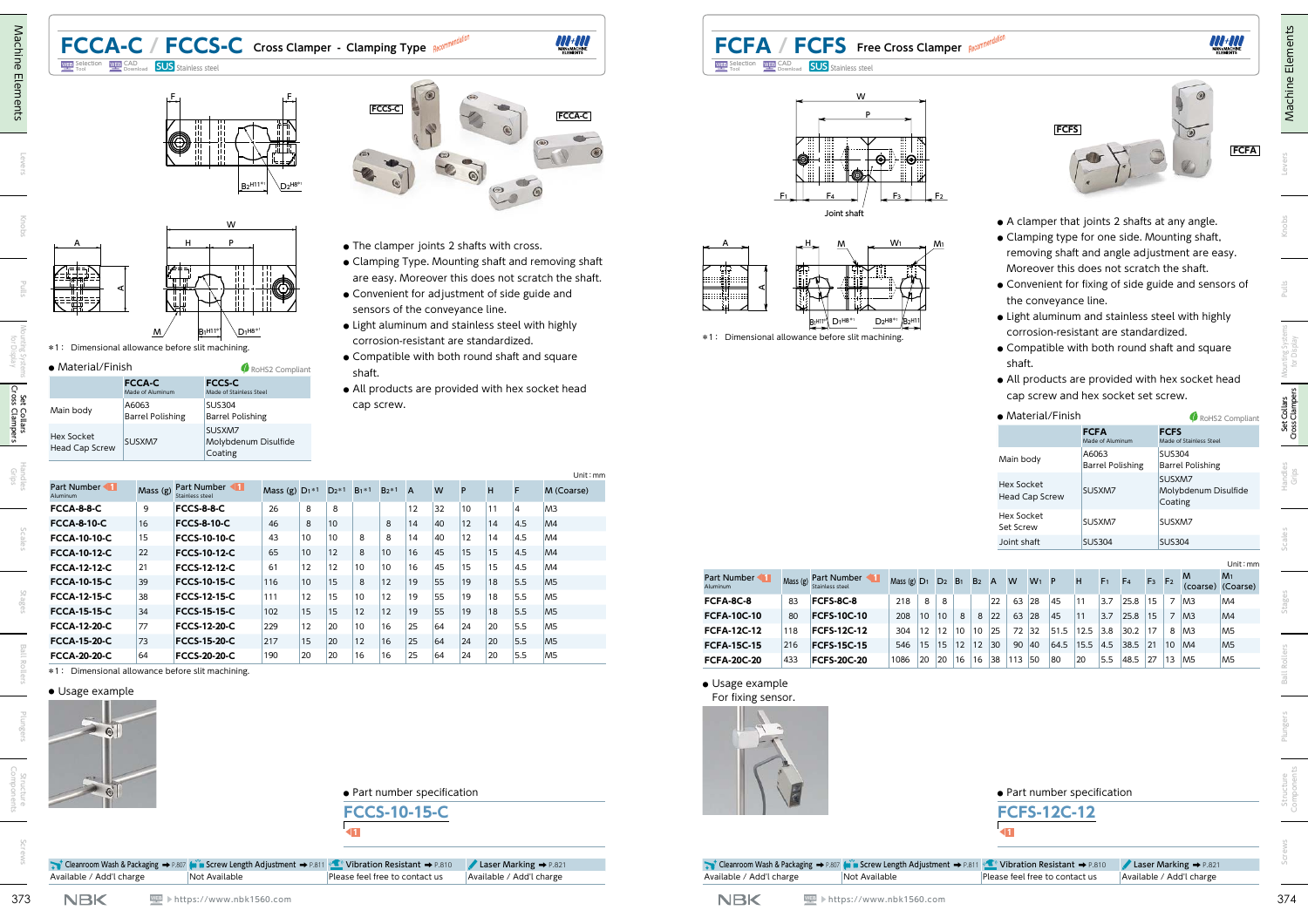# **FCCA-C / FCCS-C** Cross Clamper - Clamping Type



W



\*1: Dimensional allowance before slit machining.

Selection WEP CAD **SUS** Stainless steel

**●** Material/Finish

|                                            |                                   | RoHS2 Compliant                           |
|--------------------------------------------|-----------------------------------|-------------------------------------------|
|                                            | <b>FCCA-C</b><br>Made of Aluminum | <b>FCCS-C</b><br>Made of Stainless Steel  |
| Main body                                  | A6063<br><b>Barrel Polishing</b>  | <b>SUS304</b><br><b>Barrel Polishing</b>  |
| <b>Hex Socket</b><br><b>Head Cap Screw</b> | SUSXM7                            | SUSXM7<br>Molybdenum Disulfide<br>Coating |
|                                            |                                   | • Material/Finish                         |



- **●** The clamper joints 2 shafts with cross.
- **●** Clamping Type. Mounting shaft and removing shaft are easy. Moreover this does not scratch the shaft.

**FCCA-C**

- **●** Convenient for adjustment of side guide and sensors of the conveyance line.
- **●** Light aluminum and stainless steel with highly corrosion-resistant are standardized.
- **●** Compatible with both round shaft and square shaft.
- **●** All products are provided with hex socket head cap screw.

|                           |         |                                |                  |    |         |         |        |              |    |    |    |     | Unit: mm       |
|---------------------------|---------|--------------------------------|------------------|----|---------|---------|--------|--------------|----|----|----|-----|----------------|
| Part Number <<br>Aluminum | Mass(g) | Part Number<br>Stainless steel | Mass (g) $D_1*1$ |    | $D_2*1$ | $B_1*1$ | $B2*1$ | $\mathsf{A}$ | W  | P  | н  | F   | M (Coarse)     |
| <b>FCCA-8-8-C</b>         | 9       | <b>FCCS-8-8-C</b>              | 26               | 8  | 8       |         |        | 12           | 32 | 10 | 11 | 4   | M <sub>3</sub> |
| <b>FCCA-8-10-C</b>        | 16      | <b>FCCS-8-10-C</b>             | 46               | 8  | 10      |         | 8      | 14           | 40 | 12 | 14 | 4.5 | M <sub>4</sub> |
| FCCA-10-10-C              | 15      | <b>FCCS-10-10-C</b>            | 43               | 10 | 10      | 8       | 8      | 14           | 40 | 12 | 14 | 4.5 | M4             |
| <b>FCCA-10-12-C</b>       | 22      | <b>FCCS-10-12-C</b>            | 65               | 10 | 12      | 8       | 10     | 16           | 45 | 15 | 15 | 4.5 | M <sub>4</sub> |
| FCCA-12-12-C              | 21      | <b>FCCS-12-12-C</b>            | 61               | 12 | 12      | 10      | 10     | 16           | 45 | 15 | 15 | 4.5 | M4             |
| FCCA-10-15-C              | 39      | <b>FCCS-10-15-C</b>            | 116              | 10 | 15      | 8       | 12     | 19           | 55 | 19 | 18 | 5.5 | M <sub>5</sub> |
| FCCA-12-15-C              | 38      | <b>FCCS-12-15-C</b>            | 111              | 12 | 15      | 10      | 12     | 19           | 55 | 19 | 18 | 5.5 | M <sub>5</sub> |
| <b>FCCA-15-15-C</b>       | 34      | <b>FCCS-15-15-C</b>            | 102              | 15 | 15      | 12      | 12     | 19           | 55 | 19 | 18 | 5.5 | M <sub>5</sub> |
| <b>FCCA-12-20-C</b>       | 77      | <b>FCCS-12-20-C</b>            | 229              | 12 | 20      | 10      | 16     | 25           | 64 | 24 | 20 | 5.5 | M <sub>5</sub> |
| FCCA-15-20-C              | 73      | <b>FCCS-15-20-C</b>            | 217              | 15 | 20      | 12      | 16     | 25           | 64 | 24 | 20 | 5.5 | M <sub>5</sub> |

**FCCA-20-20-C** 64 **FCCS-20-20-C** 190 20 20 16 16 25 64 24 20 5.5 M5 \*1: Dimensional allowance before slit machining.



## Available / Add'l charge  $\blacksquare$  Not Available  $\blacksquare$  Please feel free to contact us  $\blacksquare$  Available / Add'l charge

▶https://www.nbk1560.com

## **FCFA / FCFS Free Cross Clamper** Selection WEP SAD **SUS** Stainless steel





\*1: Dimensional allowance before slit machining.



- **●** A clamper that joints 2 shafts at any angle.
- **●** Clamping type for one side. Mounting shaft, removing shaft and angle adjustment are easy. Moreover this does not scratch the shaft.
- **●** Convenient for fixing of side guide and sensors of the conveyance line.
- **●** Light aluminum and stainless steel with highly corrosion-resistant are standardized.
- **●** Compatible with both round shaft and square shaft.
- **●** All products are provided with hex socket head cap screw and hex socket set screw.

| • Material/Finish                   |                                  | RoHS2 Compliant                           |  |  |  |  |
|-------------------------------------|----------------------------------|-------------------------------------------|--|--|--|--|
|                                     | <b>FCFA</b><br>Made of Aluminum  | <b>FCFS</b><br>Made of Stainless Steel    |  |  |  |  |
| Main body                           | A6063<br><b>Barrel Polishing</b> | <b>SUS304</b><br><b>Barrel Polishing</b>  |  |  |  |  |
| Hex Socket<br><b>Head Cap Screw</b> | SUSXM7                           | SUSXM7<br>Molybdenum Disulfide<br>Coating |  |  |  |  |
| Hex Socket<br>Set Screw             | SUSXM7                           | SUSXM7                                    |  |  |  |  |
| Joint shaft                         | <b>SUS304</b>                    | <b>SUS304</b>                             |  |  |  |  |

|                         |         |                                       |                           |    |                |                |                |                |    |       |          |      |                |                |                |                |                | Unit : mm                           |
|-------------------------|---------|---------------------------------------|---------------------------|----|----------------|----------------|----------------|----------------|----|-------|----------|------|----------------|----------------|----------------|----------------|----------------|-------------------------------------|
| Part Number<br>Aluminum | Mass(g) | Part Number<br><b>Stainless steel</b> | Mass $(g)$ D <sub>1</sub> |    | D <sub>2</sub> | B <sub>1</sub> | B <sub>2</sub> | $\overline{A}$ | W  | $W_1$ | <b>P</b> | н    | F <sub>1</sub> | F <sub>4</sub> | F <sub>3</sub> | F <sub>2</sub> | M              | M <sub>1</sub><br>(coarse) (Coarse) |
| FCFA-8C-8               | 83      | FCFS-8C-8                             | 218                       | 8  | 8              |                |                | 22             | 63 | 28    | 45       | 11   | 3.7            | 25.8           | 15             |                | M <sub>3</sub> | M4                                  |
| <b>FCFA-10C-10</b>      | 80      | <b>FCFS-10C-10</b>                    | 208                       | 10 | 10             | 8              | 8              | 22             | 63 | 28    | 45       | 11   | 3.7            | 25.8           | 15             |                | M <sub>3</sub> | MA                                  |
| <b>FCFA-12C-12</b>      | 118     | <b>FCFS-12C-12</b>                    | 304                       | 12 | 12             | 10             | 10             | 25             | 72 | 32    | 51.5     | 12.5 | 3.8            | 30.2           | 17             | 8              | M <sub>3</sub> | M <sub>5</sub>                      |
| <b>FCFA-15C-15</b>      | 216     | <b>FCFS-15C-15</b>                    | 546                       | 15 | 15             | 12             | 12             | 30             | 90 | 40    | 64.5     | 15.5 | 4.5            | 38.5           | 21             | 10             | M4             | M <sub>5</sub>                      |
| <b>FCFA-20C-20</b>      | 433     | <b>FCFS-20C-20</b>                    | 1086                      | 20 | 20             | 16             | 16             | 38             | 13 | 50    | 80       | 20   | 5.5            | 48.5           | 27             | 13             | M <sub>5</sub> | M <sub>5</sub>                      |

**●** Usage example For fixing sensor.



## **●** Part number specification



| Screw Length Adjustment $\rightarrow$ P.811 (2011) Vibration Resistant $\rightarrow$ P.810 21 Laser Marking $\rightarrow$ P.821 |  |
|---------------------------------------------------------------------------------------------------------------------------------|--|

Cleanroom Wash & Packaging ➡ P.807 (minus Available / Add'l charge Not Available Please feel free to contact us Available / Add'l charge

▶https://www.nbk1560.com

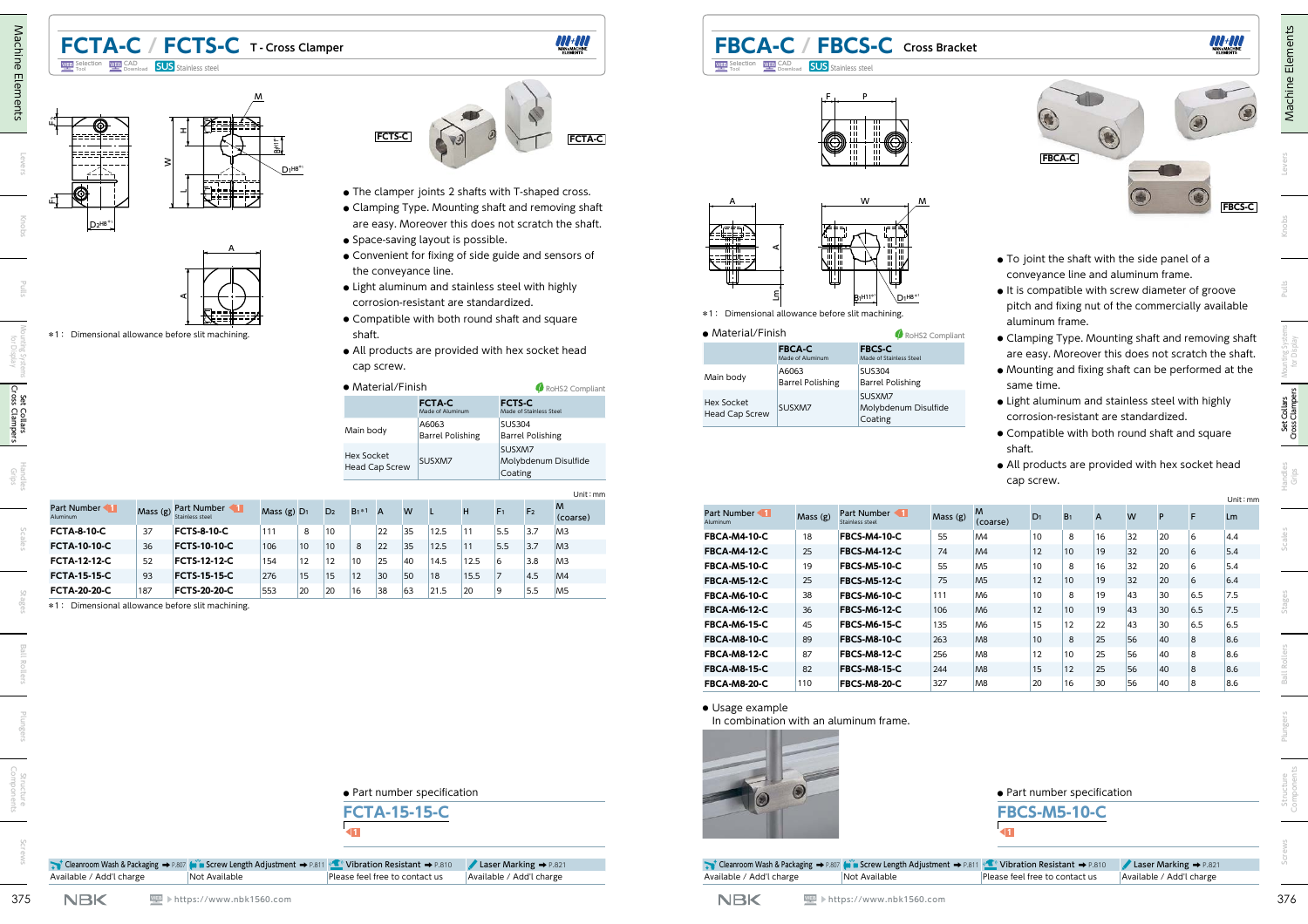

Unit:mm



**FBCA-C / FBCS-C Cross Bracket**

P

F

Selection WEP SAD **SUS** Stainless steel

| *1: Dimensional allowance before slit machining. | ₿                                 | $D_1$ H8 <sup>*1</sup><br>$B1^{H11*1}$                                    |                 |                                                   |                |                                                    |    |    |    | re is compatible with screw diameter or gre<br>pitch and fixing nut of the commercially av |
|--------------------------------------------------|-----------------------------------|---------------------------------------------------------------------------|-----------------|---------------------------------------------------|----------------|----------------------------------------------------|----|----|----|--------------------------------------------------------------------------------------------|
|                                                  |                                   |                                                                           |                 |                                                   |                | aluminum frame.                                    |    |    |    |                                                                                            |
| • Material/Finish                                |                                   |                                                                           | RoHS2 Compliant |                                                   |                |                                                    |    |    |    | • Clamping Type. Mounting shaft and remov                                                  |
|                                                  | <b>FBCA-C</b><br>Made of Aluminum | <b>FBCS-C</b><br>Made of Stainless Steel                                  |                 |                                                   |                |                                                    |    |    |    | are easy. Moreover this does not scratch tl                                                |
| Main body                                        | A6063<br><b>Barrel Polishing</b>  | <b>SUS304</b><br><b>Barrel Polishing</b>                                  |                 |                                                   | same time.     |                                                    |    |    |    | • Mounting and fixing shaft can be performe                                                |
| <b>Hex Socket</b><br><b>Head Cap Screw</b>       | SUSXM7                            | SUSXM7<br>Molybdenum Disulfide<br>Coating                                 |                 |                                                   |                | corrosion-resistant are standardized.              |    |    |    | • Light aluminum and stainless steel with hig                                              |
|                                                  |                                   |                                                                           |                 | shaft.                                            | cap screw.     |                                                    |    |    |    | • Compatible with both round shaft and squ<br>• All products are provided with hex socket  |
| Part Number 11<br>Aluminum                       | Mass (g)                          | Part Number 1<br>Stainless steel                                          | Mass (g)        | M<br>(coarse)                                     | D <sub>1</sub> | B <sub>1</sub>                                     | A  | W  | P  | F                                                                                          |
| <b>FBCA-M4-10-C</b>                              | 18                                | <b>FBCS-M4-10-C</b>                                                       | 55              | M4                                                | 10             | 8                                                  | 16 | 32 | 20 | 6                                                                                          |
| <b>FBCA-M4-12-C</b>                              | 25                                | <b>FBCS-M4-12-C</b>                                                       | 74              | M <sub>4</sub>                                    | 12             | 10                                                 | 19 | 32 | 20 | 6                                                                                          |
| <b>FBCA-M5-10-C</b>                              | 19                                | <b>FBCS-M5-10-C</b>                                                       | 55              | M <sub>5</sub>                                    | 10             | 8                                                  | 16 | 32 | 20 | 6                                                                                          |
| <b>FBCA-M5-12-C</b>                              | 25                                | <b>FBCS-M5-12-C</b>                                                       | 75              | M <sub>5</sub>                                    | 12             | 10                                                 | 19 | 32 | 20 | 6                                                                                          |
| <b>FBCA-M6-10-C</b>                              | 38                                | <b>FBCS-M6-10-C</b>                                                       | 111             | M <sub>6</sub>                                    | 10             | 8                                                  | 19 | 43 | 30 | 6.5                                                                                        |
| <b>FBCA-M6-12-C</b>                              | 36                                | <b>FBCS-M6-12-C</b>                                                       | 106             | M <sub>6</sub>                                    | 12             | 10                                                 | 19 | 43 | 30 | 6.5                                                                                        |
| <b>FBCA-M6-15-C</b>                              | 45                                | <b>FBCS-M6-15-C</b>                                                       | 135             | M <sub>6</sub>                                    | 15             | 12                                                 | 22 | 43 | 30 | 6.5                                                                                        |
| <b>FBCA-M8-10-C</b>                              | 89                                | <b>FBCS-M8-10-C</b>                                                       | 263             | M <sub>8</sub>                                    | 10             | 8                                                  | 25 | 56 | 40 | $\overline{8}$                                                                             |
| <b>FBCA-M8-12-C</b>                              | 87                                | <b>FBCS-M8-12-C</b>                                                       | 256             | M <sub>8</sub>                                    | 12             | 10                                                 | 25 | 56 | 40 | 8                                                                                          |
| <b>FBCA-M8-15-C</b>                              | 82                                | <b>FBCS-M8-15-C</b>                                                       | 244             | M8                                                | 15             | 12                                                 | 25 | 56 | 40 | $\overline{8}$                                                                             |
| <b>FBCA-M8-20-C</b>                              | 110                               | <b>FBCS-M8-20-C</b>                                                       | 327             | M <sub>8</sub>                                    | 20             | 16                                                 | 30 | 56 | 40 | 8                                                                                          |
| • Usage example                                  |                                   | In combination with an aluminum frame.                                    |                 |                                                   |                | · Part number specification<br><b>FBCS-M5-10-C</b> |    |    |    |                                                                                            |
|                                                  |                                   | Cleanroom Wash & Packaging → P.807 (will Screw Length Adjustment → P.811) |                 | $\top$<br>( <u>•■</u> Vibration Resistant → P.810 |                |                                                    |    |    |    | Laser Marking > P.82                                                                       |
| Available / Add'l charge                         |                                   | Not Available                                                             |                 | Please feel free to contact us                    |                |                                                    |    |    |    | Available / Add'l charge                                                                   |



- **●** To joint the shaft with the side panel of a conveyance line and aluminum frame.
- **●** It is compatible with screw diameter of groove pitch and fixing nut of the commercially available aluminum frame.
- **●** Clamping Type. Mounting shaft and removing shaft are easy. Moreover this does not scratch the shaft.
- **●** Mounting and fixing shaft can be performed at the same time.
- **●** Light aluminum and stainless steel with highly corrosion-resistant are standardized.
- **●** Compatible with both round shaft and square shaft.
- **●** All products are provided with hex socket head cap screw.

(coarse) D1 B1 <sup>A</sup> <sup>W</sup> <sup>P</sup> <sup>F</sup> Lm

|  | Stag |
|--|------|
|  |      |
|  |      |
|  | lers |
|  |      |

**●** Part number specification **FCTA-15-15-C** ◀**1**

Cleanroom Wash & Packaging ➡ P.807 (will Screw Length Adjustment ➡ P.811 Vibration Resistant ➡ P.810 Laser Marking ➡ P.821 Available / Add'l charge Not Available Please feel free to contact us Available / Add'l charge

▶https://www.nbk1560.com

▶https://www.nbk1560.com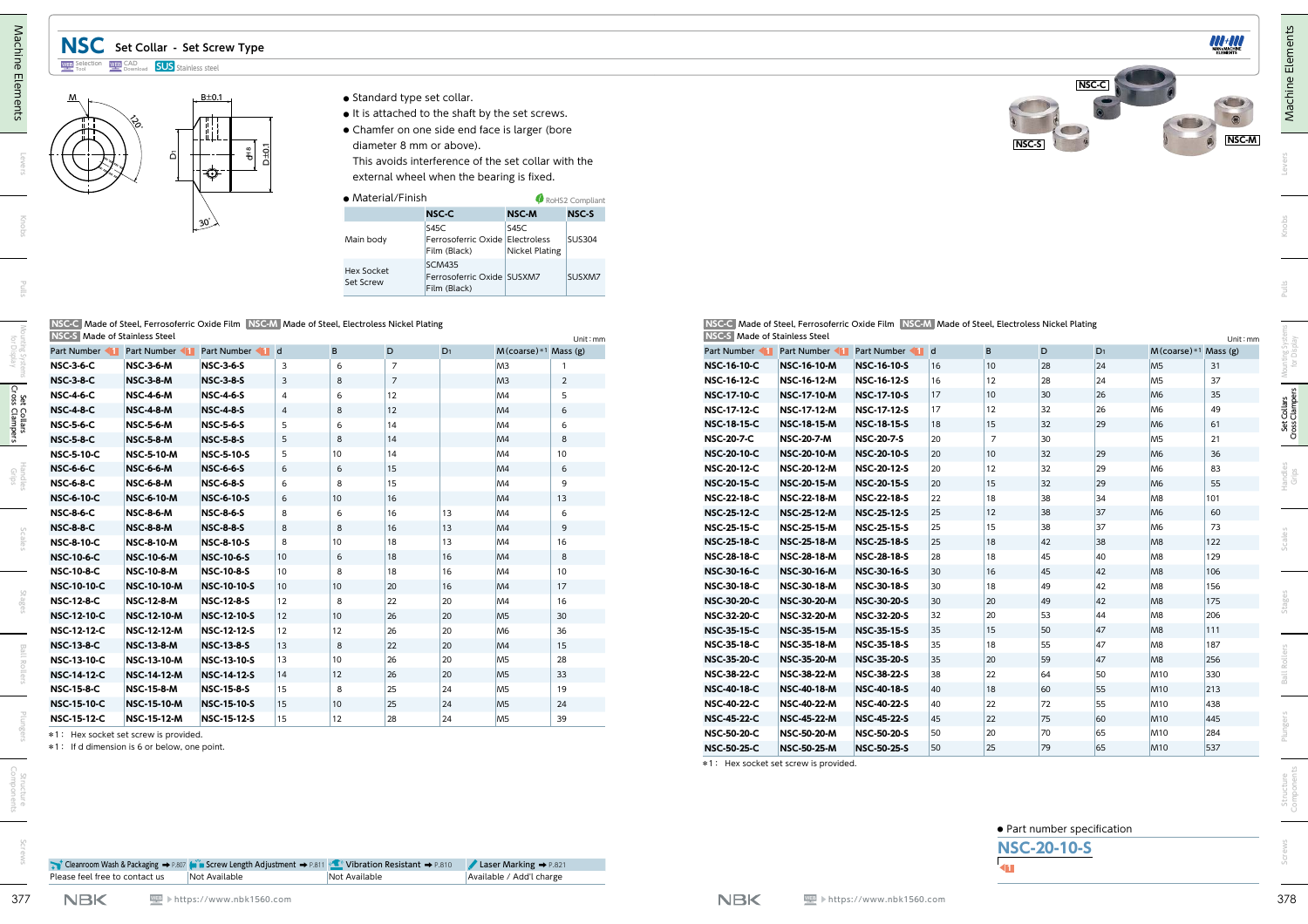## **NSC Set Collar - Set Screw Type**



- **B**±0.1 **●** Standard type set collar.
	- **●** It is attached to the shaft by the set screws.
	- **●** Chamfer on one side end face is larger (bore diameter 8 mm or above).

| $\bullet$ Material/Finish |                                                             | RoHS2 Compliant               |               |  |  |  |  |
|---------------------------|-------------------------------------------------------------|-------------------------------|---------------|--|--|--|--|
|                           | <b>NSC-C</b>                                                | <b>NSC-M</b>                  | <b>NSC-S</b>  |  |  |  |  |
| Main body                 | S45C<br>Ferrosoferric Oxide Electroless<br>Film (Black)     | S45C<br><b>Nickel Plating</b> | <b>SUS304</b> |  |  |  |  |
| Hex Socket<br>Set Screw   | <b>SCM435</b><br>Ferrosoferric Oxide SUSXM7<br>Film (Black) |                               | SUSXM7        |  |  |  |  |

|                               | NSC-C Made of Steel, Ferrosoferric Oxide Film NSC-M Made of Steel, Electroless Nickel Plating |
|-------------------------------|-----------------------------------------------------------------------------------------------|
| NGC 6 Meda of Chainless Chaol |                                                                                               |

| NSC-S Made of Stainless Steel |                    |                    |              |    |                |                |                          | Unit : mm      |
|-------------------------------|--------------------|--------------------|--------------|----|----------------|----------------|--------------------------|----------------|
| Part Number                   | Part Number        | Part Number        | $\mathsf{d}$ | B  | D              | D <sub>1</sub> | $M$ (coarse) *1 Mass (g) |                |
| <b>NSC-3-6-C</b>              | <b>NSC-3-6-M</b>   | <b>NSC-3-6-S</b>   | 3            | 6  | $\overline{7}$ |                | M <sub>3</sub>           | 1              |
| <b>NSC-3-8-C</b>              | <b>NSC-3-8-M</b>   | <b>NSC-3-8-S</b>   | 3            | 8  | $\overline{7}$ |                | M <sub>3</sub>           | $\overline{2}$ |
| <b>NSC-4-6-C</b>              | <b>NSC-4-6-M</b>   | <b>NSC-4-6-S</b>   | 4            | 6  | 12             |                | M4                       | 5              |
| <b>NSC-4-8-C</b>              | <b>NSC-4-8-M</b>   | <b>NSC-4-8-S</b>   | 4            | 8  | 12             |                | M4                       | 6              |
| <b>NSC-5-6-C</b>              | <b>NSC-5-6-M</b>   | <b>NSC-5-6-S</b>   | 5            | 6  | 14             |                | M <sub>4</sub>           | 6              |
| <b>NSC-5-8-C</b>              | <b>NSC-5-8-M</b>   | <b>NSC-5-8-S</b>   | 5            | 8  | 14             |                | M4                       | 8              |
| <b>NSC-5-10-C</b>             | <b>NSC-5-10-M</b>  | <b>NSC-5-10-S</b>  | 5            | 10 | 14             |                | M4                       | 10             |
| <b>NSC-6-6-C</b>              | <b>NSC-6-6-M</b>   | <b>NSC-6-6-S</b>   | 6            | 6  | 15             |                | M4                       | 6              |
| <b>NSC-6-8-C</b>              | <b>NSC-6-8-M</b>   | <b>NSC-6-8-S</b>   | 6            | 8  | 15             |                | M <sub>4</sub>           | 9              |
| <b>NSC-6-10-C</b>             | <b>NSC-6-10-M</b>  | <b>NSC-6-10-S</b>  | 6            | 10 | 16             |                | M <sub>4</sub>           | 13             |
| <b>NSC-8-6-C</b>              | <b>NSC-8-6-M</b>   | <b>NSC-8-6-S</b>   | 8            | 6  | 16             | 13             | M <sub>4</sub>           | 6              |
| <b>NSC-8-8-C</b>              | <b>NSC-8-8-M</b>   | <b>NSC-8-8-S</b>   | 8            | 8  | 16             | 13             | M4                       | 9              |
| <b>NSC-8-10-C</b>             | <b>NSC-8-10-M</b>  | <b>NSC-8-10-S</b>  | 8            | 10 | 18             | 13             | M <sub>4</sub>           | 16             |
| <b>NSC-10-6-C</b>             | <b>NSC-10-6-M</b>  | <b>NSC-10-6-S</b>  | 10           | 6  | 18             | 16             | M4                       | 8              |
| <b>NSC-10-8-C</b>             | <b>NSC-10-8-M</b>  | <b>NSC-10-8-S</b>  | 10           | 8  | 18             | 16             | M <sub>4</sub>           | 10             |
| <b>NSC-10-10-C</b>            | <b>NSC-10-10-M</b> | <b>NSC-10-10-S</b> | 10           | 10 | 20             | 16             | M4                       | 17             |
| <b>NSC-12-8-C</b>             | <b>NSC-12-8-M</b>  | <b>NSC-12-8-S</b>  | 12           | 8  | 22             | 20             | M <sub>4</sub>           | 16             |
| <b>NSC-12-10-C</b>            | <b>NSC-12-10-M</b> | <b>NSC-12-10-S</b> | 12           | 10 | 26             | 20             | M <sub>5</sub>           | 30             |
| <b>NSC-12-12-C</b>            | <b>NSC-12-12-M</b> | <b>NSC-12-12-S</b> | 12           | 12 | 26             | 20             | M <sub>6</sub>           | 36             |
| <b>NSC-13-8-C</b>             | <b>NSC-13-8-M</b>  | <b>NSC-13-8-S</b>  | 13           | 8  | 22             | 20             | M4                       | 15             |
| <b>NSC-13-10-C</b>            | <b>NSC-13-10-M</b> | <b>NSC-13-10-S</b> | 13           | 10 | 26             | 20             | M <sub>5</sub>           | 28             |
| <b>NSC-14-12-C</b>            | <b>NSC-14-12-M</b> | <b>NSC-14-12-S</b> | 14           | 12 | 26             | 20             | M <sub>5</sub>           | 33             |
| <b>NSC-15-8-C</b>             | <b>NSC-15-8-M</b>  | <b>NSC-15-8-S</b>  | 15           | 8  | 25             | 24             | M <sub>5</sub>           | 19             |
| <b>NSC-15-10-C</b>            | <b>NSC-15-10-M</b> | <b>NSC-15-10-S</b> | 15           | 10 | 25             | 24             | M <sub>5</sub>           | 24             |
| <b>NSC-15-12-C</b>            | <b>NSC-15-12-M</b> | <b>NSC-15-12-S</b> | 15           | 12 | 28             | 24             | M <sub>5</sub>           | 39             |

|                                          | ષ્ટે.<br>ቭ                                   | $\frac{1}{2}$<br>$\frac{2}{5}$<br>€                                                           |                                  |                      |                   | diameter 8 mm or above).<br>external wheel when the bearing is fixed. | • It is attached to the shaft by the set screws.<br>• Chamfer on one side end face is larger (bore<br>This avoids interference of the set collar with the |                  |                                          |                                          |                                                                                               |              |                       | NSC-S                                             |          |                                  | NSC-M                    |
|------------------------------------------|----------------------------------------------|-----------------------------------------------------------------------------------------------|----------------------------------|----------------------|-------------------|-----------------------------------------------------------------------|-----------------------------------------------------------------------------------------------------------------------------------------------------------|------------------|------------------------------------------|------------------------------------------|-----------------------------------------------------------------------------------------------|--------------|-----------------------|---------------------------------------------------|----------|----------------------------------|--------------------------|
|                                          |                                              |                                                                                               |                                  |                      | • Material/Finish |                                                                       |                                                                                                                                                           | RoHS2 Compliant  |                                          |                                          |                                                                                               |              |                       |                                                   |          |                                  |                          |
|                                          |                                              | $30^{\circ}$                                                                                  |                                  |                      |                   | <b>NSC-C</b><br>S45C                                                  | NSC-M<br>S45C                                                                                                                                             | NSC-S            |                                          |                                          |                                                                                               |              |                       |                                                   |          |                                  |                          |
|                                          |                                              |                                                                                               |                                  |                      | Main body         | Film (Black)                                                          | Ferrosoferric Oxide Electroless<br><b>Nickel Plating</b>                                                                                                  | <b>SUS304</b>    |                                          |                                          |                                                                                               |              |                       |                                                   |          |                                  |                          |
|                                          |                                              |                                                                                               |                                  | Set Screw            | <b>Hex Socket</b> | <b>SCM435</b><br>Ferrosoferric Oxide SUSXM7<br>Film (Black)           |                                                                                                                                                           | SUSXM7           |                                          |                                          |                                                                                               |              |                       |                                                   |          |                                  |                          |
|                                          | NSC-S Made of Stainless Steel                | NSC-C Made of Steel, Ferrosoferric Oxide Film NSC-M Made of Steel, Electroless Nickel Plating |                                  |                      |                   |                                                                       |                                                                                                                                                           | Unit: mm         | NSC-S Made of Stainless Steel            |                                          | NSC-C Made of Steel, Ferrosoferric Oxide Film NSC-M Made of Steel, Electroless Nickel Plating |              |                       |                                                   |          |                                  | Unit: mm                 |
| Part Number                              | Part Number                                  | Part Number 1 d                                                                               |                                  | B.                   | D                 | $D_1$                                                                 | $M$ (coarse) *1 Mass (g)                                                                                                                                  |                  | Part Number                              | Part Number                              | Part Number 1 d                                                                               |              | B                     | D                                                 | $D_1$    |                                  | $M$ (coarse) *1 Mass (g) |
| <b>NSC-3-6-C</b>                         | <b>NSC-3-6-M</b>                             | <b>NSC-3-6-S</b>                                                                              | $\mathbf{3}$                     | 6                    | $\overline{7}$    |                                                                       | M <sub>3</sub>                                                                                                                                            |                  | <b>NSC-16-10-C</b>                       | NSC-16-10-M                              | <b>NSC-16-10-S</b>                                                                            | 16           | 10                    | 28                                                | 24       | M <sub>5</sub>                   | 31                       |
| <b>NSC-3-8-C</b>                         | <b>NSC-3-8-M</b>                             | <b>NSC-3-8-S</b>                                                                              | $\overline{3}$<br>$\overline{4}$ | 8<br>6               | $\overline{7}$    |                                                                       | M <sub>3</sub>                                                                                                                                            | $\overline{2}$   | <b>NSC-16-12-C</b><br><b>NSC-17-10-C</b> | <b>NSC-16-12-M</b><br>NSC-17-10-M        | <b>NSC-16-12-S</b>                                                                            | 16<br>17     | 12<br>10 <sup>1</sup> | 28                                                | 24<br>26 | M <sub>5</sub><br>M <sub>6</sub> | 37                       |
| <b>NSC-4-6-C</b><br><b>NSC-4-8-C</b>     | <b>NSC-4-6-M</b><br><b>NSC-4-8-M</b>         | <b>NSC-4-6-S</b><br><b>NSC-4-8-S</b>                                                          |                                  | 8                    | 12<br>12          |                                                                       | M4<br>M <sub>4</sub>                                                                                                                                      | 5<br>$\epsilon$  | <b>NSC-17-12-C</b>                       | <b>NSC-17-12-M</b>                       | NSC-17-10-S<br><b>NSC-17-12-S</b>                                                             | 17           | 12 <sup>°</sup>       | 30<br>32                                          | 26       | M <sub>6</sub>                   | $35\,$<br>49             |
| <b>NSC-5-6-C</b>                         | <b>NSC-5-6-M</b>                             | <b>NSC-5-6-S</b>                                                                              | 5                                | 6                    | 14                |                                                                       | M4                                                                                                                                                        | 6                | <b>NSC-18-15-C</b>                       | <b>NSC-18-15-M</b>                       | NSC-18-15-S                                                                                   | 18           | 15                    | 32                                                | 29       | M <sub>6</sub>                   | 61                       |
| <b>NSC-5-8-C</b>                         | <b>NSC-5-8-M</b>                             | <b>NSC-5-8-S</b>                                                                              | 5                                | 8                    | 14                |                                                                       | M4                                                                                                                                                        | $\boldsymbol{8}$ | <b>NSC-20-7-C</b>                        | <b>NSC-20-7-M</b>                        | <b>NSC-20-7-S</b>                                                                             | 20           | $\overline{7}$        | 30                                                |          | M <sub>5</sub>                   | 21                       |
| <b>NSC-5-10-C</b>                        | <b>NSC-5-10-M</b>                            | NSC-5-10-S                                                                                    | -5                               | 10 <sup>°</sup>      | 14                |                                                                       | 10 <sup>1</sup><br>M4                                                                                                                                     |                  | <b>NSC-20-10-C</b>                       | <b>NSC-20-10-M</b>                       | <b>NSC-20-10-S</b>                                                                            | 20           | 10 <sup>°</sup>       | 32                                                | 29       | M <sub>6</sub>                   | 36                       |
| <b>NSC-6-6-C</b>                         | <b>NSC-6-6-M</b>                             | <b>NSC-6-6-5</b>                                                                              |                                  | 6                    | 15                |                                                                       | M <sub>4</sub>                                                                                                                                            | 6                | <b>NSC-20-12-C</b>                       | <b>NSC-20-12-M</b>                       | NSC-20-12-S                                                                                   | 20           | 12                    | 32                                                | 29       | M <sub>6</sub>                   | 83                       |
| <b>NSC-6-8-C</b>                         | <b>NSC-6-8-M</b>                             | <b>NSC-6-8-S</b>                                                                              | 6                                | 8                    | 15                |                                                                       | M <sub>4</sub>                                                                                                                                            | 9                | <b>NSC-20-15-C</b>                       | <b>NSC-20-15-M</b>                       | NSC-20-15-S                                                                                   | 20           | 15                    | 32                                                | 29       | M <sub>6</sub>                   | 55                       |
| <b>NSC-6-10-C</b>                        | <b>NSC-6-10-M</b>                            | <b>NSC-6-10-S</b>                                                                             | 6                                | 10 <sup>10</sup>     | 16                |                                                                       | 13<br>M4                                                                                                                                                  |                  | <b>NSC-22-18-C</b>                       | <b>NSC-22-18-M</b>                       | <b>NSC-22-18-S</b>                                                                            | 22           | 18                    | 38                                                | 34       | M <sub>8</sub>                   | 101                      |
| <b>NSC-8-6-C</b>                         | <b>NSC-8-6-M</b>                             | <b>NSC-8-6-S</b>                                                                              | 8                                | 6                    | 16                | 13                                                                    | M <sub>4</sub>                                                                                                                                            | 6                | <b>NSC-25-12-C</b>                       | <b>NSC-25-12-M</b>                       | <b>NSC-25-12-S</b>                                                                            | 25           | 12                    | 38                                                | 37       | M <sub>6</sub>                   | 60                       |
| <b>NSC-8-8-C</b>                         | <b>NSC-8-8-M</b>                             | <b>NSC-8-8-S</b>                                                                              | 8                                | 8                    | 16                | 13                                                                    | M4                                                                                                                                                        | 9                | <b>NSC-25-15-C</b>                       | NSC-25-15-M                              | <b>NSC-25-15-S</b>                                                                            | 25           | 15                    | 38                                                | 37       | M <sub>6</sub>                   | 73                       |
| <b>NSC-8-10-C</b><br><b>NSC-10-6-C</b>   | <b>NSC-8-10-M</b><br><b>NSC-10-6-M</b>       | <b>NSC-8-10-S</b><br><b>NSC-10-6-S</b>                                                        | 8<br>10                          | 10 <sup>°</sup><br>6 | 18<br>18          | 13<br>16                                                              | M4<br>16<br>M4                                                                                                                                            | 8                | <b>NSC-25-18-C</b><br><b>NSC-28-18-C</b> | <b>NSC-25-18-M</b><br><b>NSC-28-18-M</b> | <b>NSC-25-18-S</b><br><b>NSC-28-18-S</b>                                                      | 25<br>28     | 18<br>18              | 42<br>45                                          | 38<br>40 | M <sub>8</sub><br>M <sub>8</sub> | 122<br>129               |
| <b>NSC-10-8-C</b>                        | <b>NSC-10-8-M</b>                            | <b>NSC-10-8-S</b>                                                                             | 10                               | 8                    | 18                | 16                                                                    | M4<br>10 <sup>1</sup>                                                                                                                                     |                  | <b>NSC-30-16-C</b>                       | <b>NSC-30-16-M</b>                       | <b>NSC-30-16-S</b>                                                                            | $ 30\rangle$ | 16                    | 45                                                | 42       | M <sub>8</sub>                   | 106                      |
| <b>NSC-10-10-C</b>                       | <b>NSC-10-10-M</b>                           | <b>NSC-10-10-S</b>                                                                            | 10                               | 10                   | 20                | 16                                                                    | M4<br>17                                                                                                                                                  |                  | <b>NSC-30-18-C</b>                       | <b>NSC-30-18-M</b>                       | <b>NSC-30-18-S</b>                                                                            | 30           | 18                    | 49                                                | 42       | M <sub>8</sub>                   | 156                      |
| <b>NSC-12-8-C</b>                        | <b>NSC-12-8-M</b>                            | <b>NSC-12-8-S</b>                                                                             | 12                               | 8                    | 22                | 20                                                                    | M <sub>4</sub><br>16                                                                                                                                      |                  | <b>NSC-30-20-C</b>                       | <b>NSC-30-20-M</b>                       | <b>NSC-30-20-S</b>                                                                            | 30           | 20                    | 49                                                | 42       | M <sub>8</sub>                   | $\boxed{175}$            |
| <b>NSC-12-10-C</b>                       | <b>NSC-12-10-M</b>                           | NSC-12-10-S                                                                                   | 12                               | 10                   | 26                | 20                                                                    | M <sub>5</sub><br>30                                                                                                                                      |                  | <b>NSC-32-20-C</b>                       | <b>NSC-32-20-M</b>                       | <b>NSC-32-20-S</b>                                                                            | 32           | 20                    | 53                                                | 44       | M <sub>8</sub>                   | 206                      |
| <b>NSC-12-12-C</b>                       | <b>NSC-12-12-M</b>                           | NSC-12-12-S                                                                                   | 12                               | 12                   | 26                | 20                                                                    | M <sub>6</sub><br>36                                                                                                                                      |                  | <b>NSC-35-15-C</b>                       | <b>NSC-35-15-M</b>                       | <b>NSC-35-15-S</b>                                                                            | 35           | 15                    | 50                                                | 47       | M <sub>8</sub>                   | 111                      |
| <b>NSC-13-8-C</b>                        | <b>NSC-13-8-M</b>                            | <b>NSC-13-8-S</b>                                                                             | 13                               | 8                    | 22                | 20                                                                    | M4<br>15                                                                                                                                                  |                  | <b>NSC-35-18-C</b>                       | <b>NSC-35-18-M</b>                       | <b>NSC-35-18-S</b>                                                                            | 35           | 18                    | 55                                                | 47       | M <sub>8</sub>                   | 187                      |
| <b>NSC-13-10-C</b>                       | <b>NSC-13-10-M</b>                           | NSC-13-10-S                                                                                   | 13                               | 10 <sup>°</sup>      | 26                | 20                                                                    | M <sub>5</sub><br>28                                                                                                                                      |                  | <b>NSC-35-20-C</b>                       | <b>NSC-35-20-M</b>                       | <b>NSC-35-20-S</b>                                                                            | 35           | 20                    | 59                                                | 47       | M <sub>8</sub>                   | 256                      |
| <b>NSC-14-12-C</b>                       | <b>NSC-14-12-M</b>                           | NSC-14-12-S                                                                                   | 14                               | 12                   | 26                | 20                                                                    | M <sub>5</sub><br>33                                                                                                                                      |                  | <b>NSC-38-22-C</b>                       | NSC-38-22-M                              | NSC-38-22-S                                                                                   | 38           | 22                    | 64                                                | 50       | <b>M10</b>                       | 330                      |
| <b>NSC-15-8-C</b>                        | <b>NSC-15-8-M</b>                            | <b>NSC-15-8-S</b>                                                                             | 15                               | 8                    | 25                | 24                                                                    | M <sub>5</sub><br>19                                                                                                                                      |                  | <b>NSC-40-18-C</b><br><b>NSC-40-22-C</b> | <b>NSC-40-18-M</b><br><b>NSC-40-22-M</b> | NSC-40-18-S                                                                                   | 40<br>40     | 18<br>22              | 60<br>72                                          | 55<br>55 | M10<br><b>M10</b>                | 213<br>438               |
| <b>NSC-15-10-C</b><br><b>NSC-15-12-C</b> | NSC-15-10-M<br><b>NSC-15-12-M</b>            | NSC-15-10-S<br>NSC-15-12-S                                                                    | 15<br>15                         | 10<br>12             | 25<br>28          | 24<br>24                                                              | M <sub>5</sub><br>24<br>M <sub>5</sub><br>39                                                                                                              |                  | <b>NSC-45-22-C</b>                       | <b>NSC-45-22-M</b>                       | <b>NSC-40-22-S</b><br><b>NSC-45-22-S</b>                                                      | 45           | 22                    | 75                                                | 60       | M10                              | 445                      |
|                                          | *1: Hex socket set screw is provided.        |                                                                                               |                                  |                      |                   |                                                                       |                                                                                                                                                           |                  | <b>NSC-50-20-C</b>                       | <b>NSC-50-20-M</b>                       | <b>NSC-50-20-S</b>                                                                            | 50           | 20                    | 70                                                | 65       | M10                              | 284                      |
|                                          | *1: If d dimension is 6 or below, one point. |                                                                                               |                                  |                      |                   |                                                                       |                                                                                                                                                           |                  | <b>NSC-50-25-C</b>                       | <b>NSC-50-25-M</b>                       | NSC-50-25-S                                                                                   | 50           | 25                    | 79                                                | 65       | M10                              | 537                      |
|                                          |                                              |                                                                                               |                                  |                      |                   |                                                                       |                                                                                                                                                           |                  |                                          | *1: Hex socket set screw is provided.    |                                                                                               |              |                       | • Part number specification<br><b>NSC-20-10-S</b> |          |                                  |                          |

**NSC-20-10-S** ◀**1**

Cleanroom Wash & Packaging ➡ P.807 (will Screw Length Adjustment ➡ P.811 Vibration Resistant ➡ P.810 Laser Marking ➡ P.821 Please feel free to contact us Not Available Available Available Available Available Available Available Available Available Available Available Available Available Available Available Available Available Available Availab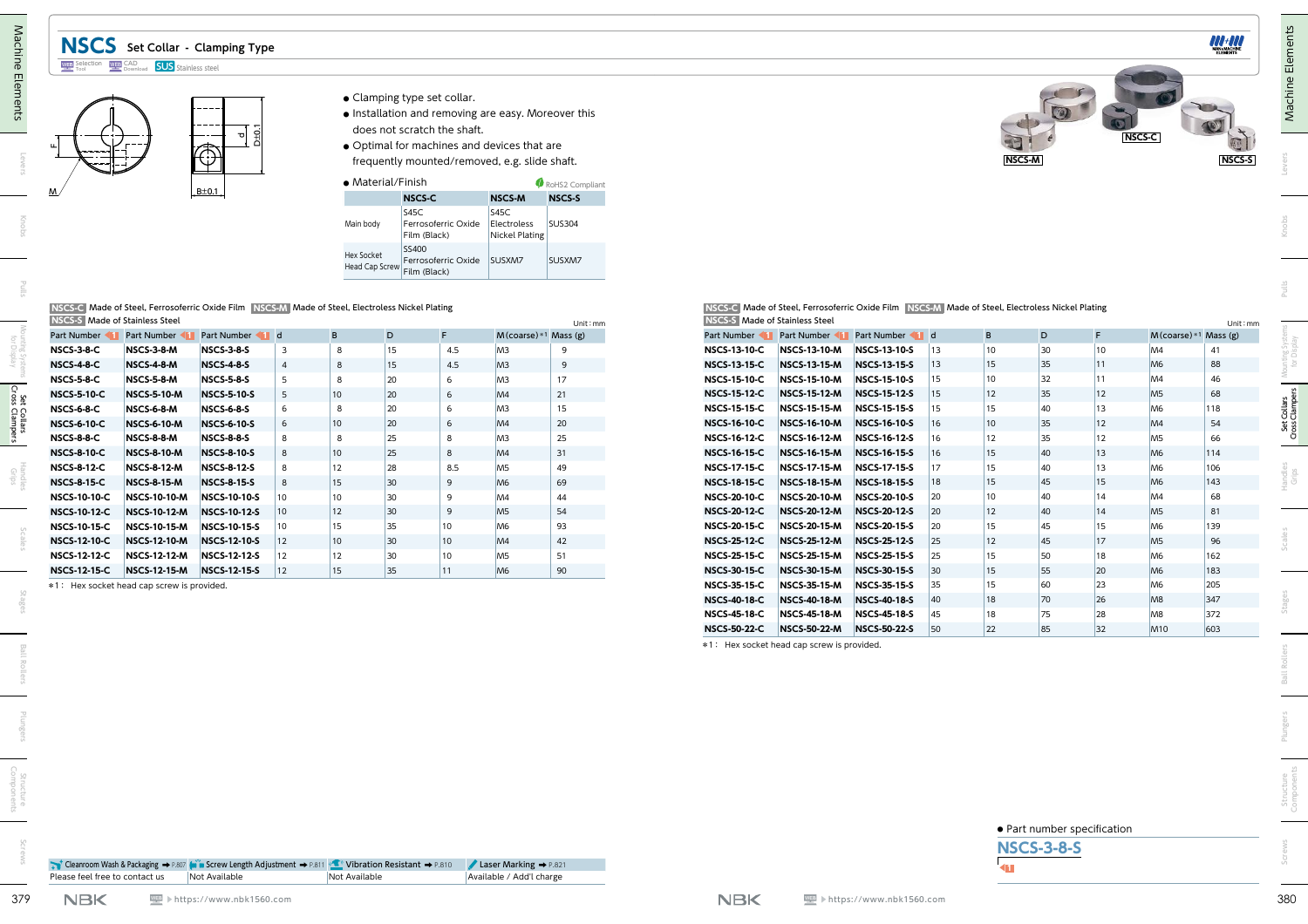## **NSCS Set Collar - Clamping Type**

#### Selection WEP CAD **SUS** Stainless steel



- **●** Clamping type set collar.
- **●** Installation and removing are easy. Moreover this does not scratch the shaft.
- **●** Optimal for machines and devices that are frequently mounted/removed, e.g. slide shaft.

| $\bullet$ Material/Finish           |                                              |                                              | RoHS2 Compliant |
|-------------------------------------|----------------------------------------------|----------------------------------------------|-----------------|
|                                     | <b>NSCS-C</b>                                | <b>NSCS-M</b>                                | <b>NSCS-S</b>   |
| Main body                           | S45C<br>Ferrosoferric Oxide<br>Film (Black)  | S45C<br>Electroless<br><b>Nickel Plating</b> | <b>SUS304</b>   |
| Hex Socket<br><b>Head Cap Screw</b> | SS400<br>Ferrosoferric Oxide<br>Film (Black) | SUSXM7                                       | SUSXM7          |

#### **[ NSCS-C ]** Made of Steel, Ferrosoferric Oxide Film **[ NSCS-M ]** Made of Steel, Electroless Nickel Plating **[ NSCS-S ]** Made of Stainless Steel

| <b>INSIDER INCORD INCORD STEEL</b> |                     |                     |                 |    |    |     |                           | Unit: $mm$ |
|------------------------------------|---------------------|---------------------|-----------------|----|----|-----|---------------------------|------------|
| Part Number                        | Part Number         | Part Number         | $\mathbf d$     | B  | D  | F   | $M$ (coarse) * 1 Mass (g) |            |
| <b>NSCS-3-8-C</b>                  | <b>NSCS-3-8-M</b>   | <b>NSCS-3-8-S</b>   | 3               | 8  | 15 | 4.5 | M <sub>3</sub>            | 9          |
| <b>NSCS-4-8-C</b>                  | <b>NSCS-4-8-M</b>   | <b>NSCS-4-8-S</b>   | $\overline{4}$  | 8  | 15 | 4.5 | M <sub>3</sub>            | 9          |
| <b>NSCS-5-8-C</b>                  | <b>NSCS-5-8-M</b>   | <b>NSCS-5-8-S</b>   | 5               | 8  | 20 | 6   | M <sub>3</sub>            | 17         |
| <b>NSCS-5-10-C</b>                 | <b>NSCS-5-10-M</b>  | <b>NSCS-5-10-S</b>  | 5               | 10 | 20 | 6   | M <sub>4</sub>            | 21         |
| <b>NSCS-6-8-C</b>                  | <b>NSCS-6-8-M</b>   | <b>NSCS-6-8-S</b>   | 6               | 8  | 20 | 6   | M <sub>3</sub>            | 15         |
| <b>NSCS-6-10-C</b>                 | <b>NSCS-6-10-M</b>  | <b>NSCS-6-10-S</b>  | 6               | 10 | 20 | 6   | M <sub>4</sub>            | 20         |
| <b>NSCS-8-8-C</b>                  | <b>NSCS-8-8-M</b>   | <b>NSCS-8-8-S</b>   | 8               | 8  | 25 | 8   | M <sub>3</sub>            | 25         |
| <b>NSCS-8-10-C</b>                 | <b>NSCS-8-10-M</b>  | <b>NSCS-8-10-S</b>  | 8               | 10 | 25 | 8   | M <sub>4</sub>            | 31         |
| <b>NSCS-8-12-C</b>                 | <b>NSCS-8-12-M</b>  | <b>NSCS-8-12-S</b>  | 8               | 12 | 28 | 8.5 | M <sub>5</sub>            | 49         |
| <b>NSCS-8-15-C</b>                 | <b>NSCS-8-15-M</b>  | <b>NSCS-8-15-S</b>  | 8               | 15 | 30 | 9   | M <sub>6</sub>            | 69         |
| <b>NSCS-10-10-C</b>                | <b>NSCS-10-10-M</b> | <b>NSCS-10-10-S</b> | 10              | 10 | 30 | 9   | M <sub>4</sub>            | 44         |
| <b>NSCS-10-12-C</b>                | <b>NSCS-10-12-M</b> | <b>NSCS-10-12-S</b> | 10 <sup>1</sup> | 12 | 30 | 9   | M <sub>5</sub>            | 54         |
| <b>NSCS-10-15-C</b>                | <b>NSCS-10-15-M</b> | <b>NSCS-10-15-S</b> | 10              | 15 | 35 | 10  | M <sub>6</sub>            | 93         |
| <b>NSCS-12-10-C</b>                | <b>NSCS-12-10-M</b> | <b>NSCS-12-10-S</b> | 12              | 10 | 30 | 10  | M <sub>4</sub>            | 42         |
| <b>NSCS-12-12-C</b>                | <b>NSCS-12-12-M</b> | <b>NSCS-12-12-S</b> | 12              | 12 | 30 | 10  | M <sub>5</sub>            | 51         |
| <b>NSCS-12-15-C</b>                | <b>NSCS-12-15-M</b> | <b>NSCS-12-15-S</b> | 12              | 15 | 35 | 11  | M <sub>6</sub>            | 90         |



|                                | NSCS-C Made of Steel. Ferrosoferric Oxide Film NSCS-M Made of Steel. Electroless Nickel Plating |           |
|--------------------------------|-------------------------------------------------------------------------------------------------|-----------|
| NSCS-S Made of Stainless Steel |                                                                                                 | Unit : mm |

|                     | BE0.1                                                                                                                                                                                           |                                                                                                                                                                                                                                                                                                                                                                                                      | Main body                                                                   | • Material/Finish<br><b>NSCS-C</b><br><b>S45C</b><br>Film (Black)                                                | Ferrosoferric Oxide                         | <b>NSCS-M</b>                                 | RoHS2 Compliant<br><b>NSCS-S</b>                                                                         |                                                                      |                                                                                                                                                                                                                                                           |                                                                                                                                                                                                                                                                      |                                                                                                                                                                                                                 |                                                                                                                            |                                                                            |                                                               |                                                          |                                                                                                                                                                                |
|---------------------|-------------------------------------------------------------------------------------------------------------------------------------------------------------------------------------------------|------------------------------------------------------------------------------------------------------------------------------------------------------------------------------------------------------------------------------------------------------------------------------------------------------------------------------------------------------------------------------------------------------|-----------------------------------------------------------------------------|------------------------------------------------------------------------------------------------------------------|---------------------------------------------|-----------------------------------------------|----------------------------------------------------------------------------------------------------------|----------------------------------------------------------------------|-----------------------------------------------------------------------------------------------------------------------------------------------------------------------------------------------------------------------------------------------------------|----------------------------------------------------------------------------------------------------------------------------------------------------------------------------------------------------------------------------------------------------------------------|-----------------------------------------------------------------------------------------------------------------------------------------------------------------------------------------------------------------|----------------------------------------------------------------------------------------------------------------------------|----------------------------------------------------------------------------|---------------------------------------------------------------|----------------------------------------------------------|--------------------------------------------------------------------------------------------------------------------------------------------------------------------------------|
|                     |                                                                                                                                                                                                 |                                                                                                                                                                                                                                                                                                                                                                                                      |                                                                             |                                                                                                                  |                                             |                                               |                                                                                                          |                                                                      |                                                                                                                                                                                                                                                           |                                                                                                                                                                                                                                                                      |                                                                                                                                                                                                                 |                                                                                                                            |                                                                            |                                                               |                                                          |                                                                                                                                                                                |
|                     |                                                                                                                                                                                                 |                                                                                                                                                                                                                                                                                                                                                                                                      |                                                                             |                                                                                                                  |                                             | S45C<br>Electroless                           | <b>SUS304</b>                                                                                            |                                                                      |                                                                                                                                                                                                                                                           |                                                                                                                                                                                                                                                                      |                                                                                                                                                                                                                 |                                                                                                                            |                                                                            |                                                               |                                                          |                                                                                                                                                                                |
|                     |                                                                                                                                                                                                 |                                                                                                                                                                                                                                                                                                                                                                                                      | Hex Socket                                                                  | SS400<br>Head Cap Screw Film (Black)                                                                             | Ferrosoferric Oxide                         | <b>Nickel Plating</b><br>SUSXM7               | SUSXM7                                                                                                   |                                                                      |                                                                                                                                                                                                                                                           |                                                                                                                                                                                                                                                                      |                                                                                                                                                                                                                 |                                                                                                                            |                                                                            |                                                               |                                                          |                                                                                                                                                                                |
|                     | NSCS-C Made of Steel, Ferrosoferric Oxide Film NSCS-M Made of Steel, Electroless Nickel Plating                                                                                                 |                                                                                                                                                                                                                                                                                                                                                                                                      |                                                                             |                                                                                                                  |                                             |                                               |                                                                                                          |                                                                      | NSCS-C Made of Steel, Ferrosoferric Oxide Film NSCS-M Made of Steel, Electroless Nickel Plating                                                                                                                                                           |                                                                                                                                                                                                                                                                      |                                                                                                                                                                                                                 |                                                                                                                            |                                                                            |                                                               |                                                          |                                                                                                                                                                                |
|                     |                                                                                                                                                                                                 |                                                                                                                                                                                                                                                                                                                                                                                                      |                                                                             |                                                                                                                  |                                             |                                               | Unit: mm                                                                                                 |                                                                      |                                                                                                                                                                                                                                                           |                                                                                                                                                                                                                                                                      |                                                                                                                                                                                                                 |                                                                                                                            |                                                                            |                                                               |                                                          | Unit : mn                                                                                                                                                                      |
| <b>NSCS-3-8-M</b>   |                                                                                                                                                                                                 | $\mathbf{3}$                                                                                                                                                                                                                                                                                                                                                                                         | 8                                                                           | 15                                                                                                               | 4.5                                         |                                               | 9                                                                                                        | <b>NSCS-13-10-C</b>                                                  | <b>NSCS-13-10-M</b>                                                                                                                                                                                                                                       | NSCS-13-10-S                                                                                                                                                                                                                                                         |                                                                                                                                                                                                                 | 10                                                                                                                         | 30                                                                         | 10                                                            | M4                                                       | 41                                                                                                                                                                             |
| <b>NSCS-4-8-M</b>   |                                                                                                                                                                                                 |                                                                                                                                                                                                                                                                                                                                                                                                      | 8                                                                           | 15                                                                                                               | 4.5                                         | M <sub>3</sub>                                | $\overline{9}$                                                                                           | <b>NSCS-13-15-C</b>                                                  | <b>NSCS-13-15-M</b>                                                                                                                                                                                                                                       | NSCS-13-15-S                                                                                                                                                                                                                                                         |                                                                                                                                                                                                                 | 15                                                                                                                         | 35                                                                         | 11                                                            | M <sub>6</sub>                                           | 88                                                                                                                                                                             |
| NSCS-5-8-M          |                                                                                                                                                                                                 | 5                                                                                                                                                                                                                                                                                                                                                                                                    | 8                                                                           | 20                                                                                                               | 6                                           | M <sub>3</sub>                                | 17                                                                                                       | <b>NSCS-15-10-C</b>                                                  | <b>NSCS-15-10-M</b>                                                                                                                                                                                                                                       | <b>NSCS-15-10-S</b>                                                                                                                                                                                                                                                  | 15                                                                                                                                                                                                              | 10                                                                                                                         | 32                                                                         | 11                                                            | M4                                                       | 46                                                                                                                                                                             |
| <b>NSCS-5-10-M</b>  |                                                                                                                                                                                                 | 5                                                                                                                                                                                                                                                                                                                                                                                                    |                                                                             | 20                                                                                                               | 6                                           | M4                                            | 21                                                                                                       | <b>NSCS-15-12-C</b>                                                  | <b>NSCS-15-12-M</b>                                                                                                                                                                                                                                       | NSCS-15-12-S                                                                                                                                                                                                                                                         | 15                                                                                                                                                                                                              | 12                                                                                                                         |                                                                            | 12                                                            | M <sub>5</sub>                                           | 68                                                                                                                                                                             |
| <b>NSCS-6-8-M</b>   |                                                                                                                                                                                                 |                                                                                                                                                                                                                                                                                                                                                                                                      | 8                                                                           |                                                                                                                  | 6                                           |                                               |                                                                                                          |                                                                      |                                                                                                                                                                                                                                                           |                                                                                                                                                                                                                                                                      |                                                                                                                                                                                                                 |                                                                                                                            |                                                                            |                                                               |                                                          | 118                                                                                                                                                                            |
|                     |                                                                                                                                                                                                 |                                                                                                                                                                                                                                                                                                                                                                                                      |                                                                             |                                                                                                                  |                                             |                                               |                                                                                                          |                                                                      |                                                                                                                                                                                                                                                           |                                                                                                                                                                                                                                                                      |                                                                                                                                                                                                                 |                                                                                                                            |                                                                            |                                                               |                                                          | 54<br>66                                                                                                                                                                       |
|                     |                                                                                                                                                                                                 |                                                                                                                                                                                                                                                                                                                                                                                                      |                                                                             |                                                                                                                  |                                             |                                               |                                                                                                          |                                                                      |                                                                                                                                                                                                                                                           |                                                                                                                                                                                                                                                                      |                                                                                                                                                                                                                 |                                                                                                                            |                                                                            |                                                               |                                                          | 114                                                                                                                                                                            |
| <b>NSCS-8-12-M</b>  |                                                                                                                                                                                                 | 8                                                                                                                                                                                                                                                                                                                                                                                                    |                                                                             | 28                                                                                                               | 8.5                                         | M <sub>5</sub>                                | 49                                                                                                       |                                                                      | <b>NSCS-17-15-M</b>                                                                                                                                                                                                                                       | <b>NSCS-17-15-S</b>                                                                                                                                                                                                                                                  | 17                                                                                                                                                                                                              | 15                                                                                                                         | 40                                                                         | 13                                                            | M <sub>6</sub>                                           | 106                                                                                                                                                                            |
| <b>NSCS-8-15-M</b>  |                                                                                                                                                                                                 | 8                                                                                                                                                                                                                                                                                                                                                                                                    |                                                                             | 30                                                                                                               | 9                                           | M <sub>6</sub>                                | 69                                                                                                       | <b>NSCS-18-15-C</b>                                                  | <b>NSCS-18-15-M</b>                                                                                                                                                                                                                                       | NSCS-18-15-S                                                                                                                                                                                                                                                         | 18                                                                                                                                                                                                              | 15                                                                                                                         | 45                                                                         | 15                                                            | M <sub>6</sub>                                           | 143                                                                                                                                                                            |
| <b>NSCS-10-10-M</b> |                                                                                                                                                                                                 | 10                                                                                                                                                                                                                                                                                                                                                                                                   |                                                                             | 30                                                                                                               | 9                                           | M <sub>4</sub>                                | 44                                                                                                       | <b>NSCS-20-10-C</b>                                                  | <b>NSCS-20-10-M</b>                                                                                                                                                                                                                                       | <b>NSCS-20-10-S</b>                                                                                                                                                                                                                                                  | 20                                                                                                                                                                                                              | 10                                                                                                                         | 40                                                                         | 14                                                            | M <sub>4</sub>                                           | 68                                                                                                                                                                             |
| <b>NSCS-10-12-M</b> |                                                                                                                                                                                                 |                                                                                                                                                                                                                                                                                                                                                                                                      |                                                                             | 30                                                                                                               | 9                                           | M <sub>5</sub>                                | 54                                                                                                       | <b>NSCS-20-12-C</b>                                                  | <b>NSCS-20-12-M</b>                                                                                                                                                                                                                                       |                                                                                                                                                                                                                                                                      |                                                                                                                                                                                                                 | 12                                                                                                                         | 40                                                                         | 14                                                            | M <sub>5</sub>                                           | 81                                                                                                                                                                             |
| <b>NSCS-10-15-M</b> |                                                                                                                                                                                                 | 10                                                                                                                                                                                                                                                                                                                                                                                                   |                                                                             | 35                                                                                                               | 10                                          | M <sub>6</sub>                                | 93                                                                                                       |                                                                      |                                                                                                                                                                                                                                                           |                                                                                                                                                                                                                                                                      |                                                                                                                                                                                                                 | 15                                                                                                                         | 45                                                                         | 15                                                            | M <sub>6</sub>                                           | 139                                                                                                                                                                            |
|                     |                                                                                                                                                                                                 |                                                                                                                                                                                                                                                                                                                                                                                                      |                                                                             |                                                                                                                  |                                             |                                               |                                                                                                          |                                                                      |                                                                                                                                                                                                                                                           |                                                                                                                                                                                                                                                                      |                                                                                                                                                                                                                 |                                                                                                                            |                                                                            |                                                               |                                                          | $96\,$                                                                                                                                                                         |
|                     |                                                                                                                                                                                                 |                                                                                                                                                                                                                                                                                                                                                                                                      |                                                                             |                                                                                                                  |                                             |                                               |                                                                                                          |                                                                      |                                                                                                                                                                                                                                                           |                                                                                                                                                                                                                                                                      |                                                                                                                                                                                                                 |                                                                                                                            |                                                                            |                                                               |                                                          | 162<br>183                                                                                                                                                                     |
|                     |                                                                                                                                                                                                 |                                                                                                                                                                                                                                                                                                                                                                                                      |                                                                             |                                                                                                                  |                                             |                                               |                                                                                                          |                                                                      |                                                                                                                                                                                                                                                           |                                                                                                                                                                                                                                                                      |                                                                                                                                                                                                                 |                                                                                                                            |                                                                            |                                                               |                                                          | 205                                                                                                                                                                            |
|                     |                                                                                                                                                                                                 |                                                                                                                                                                                                                                                                                                                                                                                                      |                                                                             |                                                                                                                  |                                             |                                               |                                                                                                          |                                                                      |                                                                                                                                                                                                                                                           |                                                                                                                                                                                                                                                                      | 40                                                                                                                                                                                                              |                                                                                                                            |                                                                            |                                                               |                                                          | $347$                                                                                                                                                                          |
|                     |                                                                                                                                                                                                 |                                                                                                                                                                                                                                                                                                                                                                                                      |                                                                             |                                                                                                                  |                                             |                                               |                                                                                                          | <b>NSCS-45-18-C</b>                                                  | <b>NSCS-45-18-M</b>                                                                                                                                                                                                                                       | <b>NSCS-45-18-S</b>                                                                                                                                                                                                                                                  |                                                                                                                                                                                                                 |                                                                                                                            | 75                                                                         |                                                               |                                                          |                                                                                                                                                                                |
|                     |                                                                                                                                                                                                 |                                                                                                                                                                                                                                                                                                                                                                                                      |                                                                             |                                                                                                                  |                                             |                                               |                                                                                                          |                                                                      |                                                                                                                                                                                                                                                           |                                                                                                                                                                                                                                                                      |                                                                                                                                                                                                                 |                                                                                                                            |                                                                            | 28                                                            | M <sub>8</sub>                                           | 372                                                                                                                                                                            |
|                     | NSCS-S Made of Stainless Steel<br>Part Number Part Number<br><b>NSCS-6-10-M</b><br><b>NSCS-8-8-M</b><br><b>NSCS-8-10-M</b><br><b>NSCS-12-10-M</b><br><b>NSCS-12-12-M</b><br><b>NSCS-12-15-M</b> | <b>NSCS-3-8-S</b><br><b>NSCS-4-8-S</b><br><b>NSCS-5-8-S</b><br><b>NSCS-5-10-S</b><br><b>NSCS-6-8-S</b><br><b>NSCS-6-10-S</b><br><b>NSCS-8-8-S</b><br><b>NSCS-8-10-S</b><br><b>NSCS-8-12-S</b><br><b>NSCS-8-15-S</b><br><b>NSCS-10-10-S</b><br><b>NSCS-10-12-S</b><br><b>NSCS-10-15-S</b><br>NSCS-12-10-S<br><b>NSCS-12-12-S</b><br><b>NSCS-12-15-S</b><br>*1: Hex socket head cap screw is provided. | Part Number 1 d<br>8<br>$ 10\rangle$<br>$ 12\rangle$<br>$ 12\rangle$<br> 12 | B<br>10 <sup>1</sup><br>10 <sup>°</sup><br>8<br>10 <sup>10</sup><br>12<br>15<br>10<br>12<br>15<br>10<br>12<br>15 | D<br>20<br>20<br>25<br>25<br>30<br>30<br>35 | F.<br>6<br>8<br>8<br>10<br>10<br>$ 11\rangle$ | M <sub>3</sub><br>M <sub>3</sub><br>M4<br>M <sub>3</sub><br>M4<br>M4<br>M <sub>5</sub><br>M <sub>6</sub> | $M$ (coarse) $*1$ Mass (g)<br>15<br>20<br>25<br>31<br>42<br>51<br>90 | <b>NSCS-15-15-C</b><br><b>NSCS-16-10-C</b><br><b>NSCS-16-12-C</b><br><b>NSCS-16-15-C</b><br><b>NSCS-17-15-C</b><br><b>NSCS-20-15-C</b><br><b>NSCS-25-12-C</b><br><b>NSCS-25-15-C</b><br><b>NSCS-30-15-C</b><br><b>NSCS-35-15-C</b><br><b>NSCS-40-18-C</b> | NSCS-S Made of Stainless Steel<br><b>NSCS-15-15-M</b><br><b>NSCS-16-10-M</b><br><b>NSCS-16-12-M</b><br><b>NSCS-16-15-M</b><br><b>NSCS-20-15-M</b><br><b>NSCS-25-12-M</b><br><b>NSCS-25-15-M</b><br><b>NSCS-30-15-M</b><br><b>NSCS-35-15-M</b><br><b>NSCS-40-18-M</b> | <b>NSCS-15-15-S</b><br>NSCS-16-10-S<br>NSCS-16-12-S<br>NSCS-16-15-S<br>NSCS-20-12-S<br><b>NSCS-20-15-S</b><br>NSCS-25-12-S<br><b>NSCS-25-15-S</b><br><b>NSCS-30-15-S</b><br><b>NSCS-35-15-S</b><br>NSCS-40-18-S | Part Number 1 Part Number 1 Part Number 1 d<br> 13<br> 13<br>15<br> 16<br>16<br> 16<br>20<br>20<br> 25<br>25<br> 30<br> 35 | B<br>15<br>10 <sup>°</sup><br>12<br>15<br>12<br>15<br>15<br>15<br>18<br>18 | D<br>35<br>40<br>35<br>35<br>40<br>45<br>50<br>55<br>60<br>70 | F.<br>13<br>12<br>12<br>13<br>17<br>18<br>20<br>23<br>26 | $M$ (coarse) *1 Mass (g)<br>M <sub>6</sub><br>M4<br>M <sub>5</sub><br>M <sub>6</sub><br>M <sub>5</sub><br>M <sub>6</sub><br>M <sub>6</sub><br>M <sub>6</sub><br>M <sub>8</sub> |





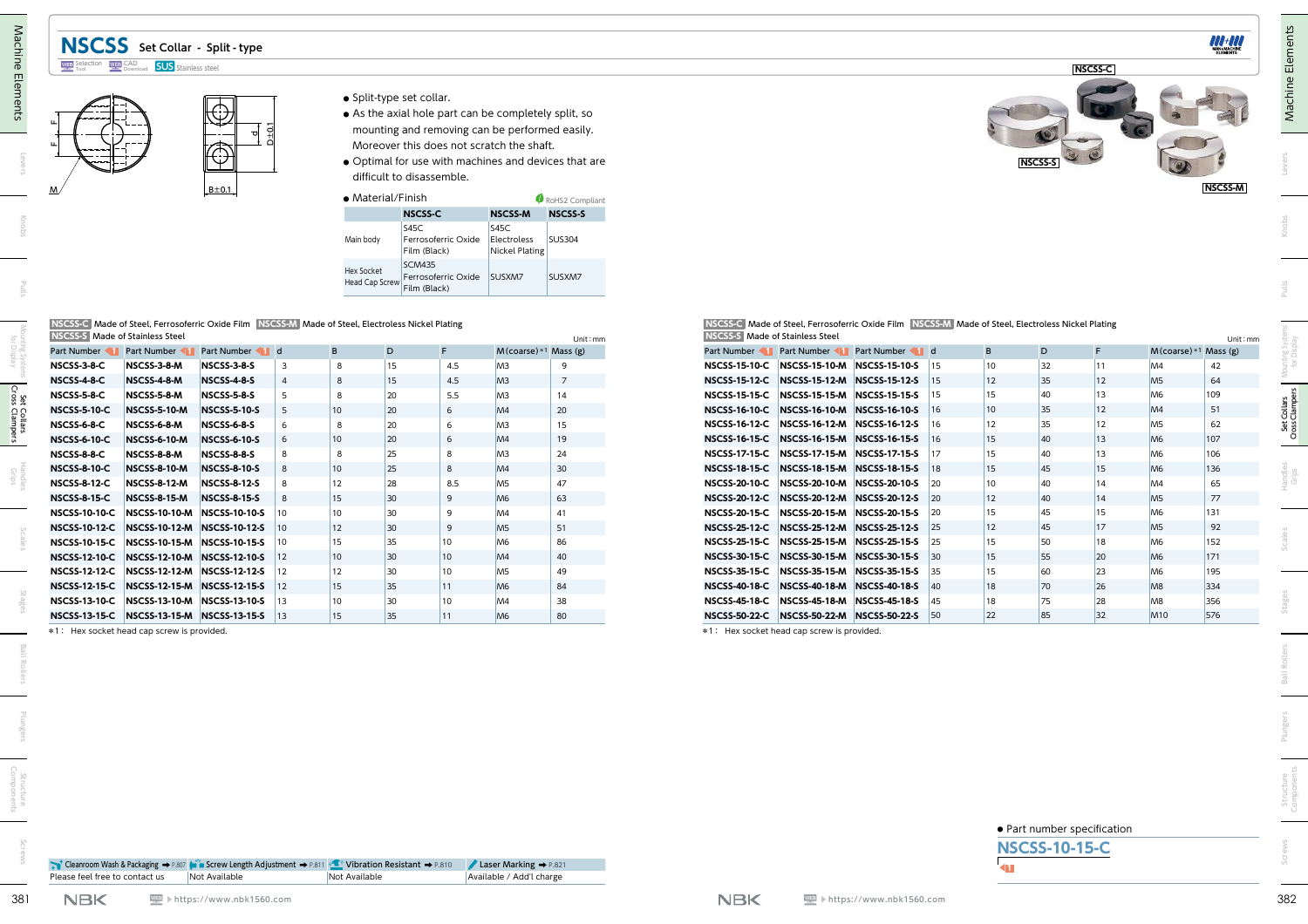## **NSCSS Set Collar - Split - type**



- **●** Split-type set collar.
- **●** As the axial hole part can be completely split, so mounting and removing can be performed easily. Moreover this does not scratch the shaft.
- **●** Optimal for use with machines and devices that are difficult to disassemble.

| • Material/Finish                   |                                                      |                                              | RoHS2 Compliant |  |  |  |
|-------------------------------------|------------------------------------------------------|----------------------------------------------|-----------------|--|--|--|
|                                     | <b>NSCSS-C</b>                                       | <b>NSCSS-M</b>                               | <b>NSCSS-S</b>  |  |  |  |
| Main body                           | S45C<br>Ferrosoferric Oxide<br>Film (Black)          | S45C<br>Electroless<br><b>Nickel Plating</b> | <b>SUS304</b>   |  |  |  |
| Hex Socket<br><b>Head Cap Screw</b> | <b>SCM435</b><br>Ferrosoferric Oxide<br>Film (Black) | SUSXM7                                       | SUSXM7          |  |  |  |

|                                             |                                             | ⊕<br>$D \pm 0.1$<br>ᅙ<br>⊕<br>$B \pm 0.1$                                                         |                     |                                           | • Split-type set collar.<br>difficult to disassemble.        |                                            | • As the axial hole part can be completely split, so<br>mounting and removing can be performed easily.<br>Moreover this does not scratch the shaft. | · Optimal for use with machines and devices that are |                                                                                            |                                                                                                   |  |                 | <b>NSCSS-9</b> |          |                                  | <b>NSCSS-M</b>           |
|---------------------------------------------|---------------------------------------------|---------------------------------------------------------------------------------------------------|---------------------|-------------------------------------------|--------------------------------------------------------------|--------------------------------------------|-----------------------------------------------------------------------------------------------------------------------------------------------------|------------------------------------------------------|--------------------------------------------------------------------------------------------|---------------------------------------------------------------------------------------------------|--|-----------------|----------------|----------|----------------------------------|--------------------------|
|                                             |                                             |                                                                                                   |                     | • Material/Finish                         |                                                              |                                            |                                                                                                                                                     | RoHS2 Compliant                                      |                                                                                            |                                                                                                   |  |                 |                |          |                                  |                          |
|                                             |                                             |                                                                                                   |                     |                                           | <b>NSCSS-C</b>                                               |                                            | <b>NSCSS-M</b>                                                                                                                                      | <b>NSCSS-S</b>                                       |                                                                                            |                                                                                                   |  |                 |                |          |                                  |                          |
|                                             |                                             |                                                                                                   |                     | Main body<br>Hex Socket<br>Head Cap Screw | <b>S45C</b><br>Film (Black)<br><b>SCM435</b><br>Film (Black) | Ferrosoferric Oxide<br>Ferrosoferric Oxide | S45C<br>Electroless<br><b>Nickel Plating</b><br>SUSXM7                                                                                              | <b>SUS304</b><br>SUSXM7                              |                                                                                            |                                                                                                   |  |                 |                |          |                                  |                          |
| <b>NSCSS-S</b> Made of Stainless Steel      |                                             | NSCSS-C Made of Steel, Ferrosoferric Oxide Film NSCSS-M Made of Steel, Electroless Nickel Plating |                     |                                           |                                                              |                                            |                                                                                                                                                     | Unit: mm                                             | NSCSS-S Made of Stainless Steel                                                            | NSCSS-C Made of Steel, Ferrosoferric Oxide Film NSCSS-M Made of Steel, Electroless Nickel Plating |  |                 |                |          |                                  | Unit: mm                 |
| Part Number Part Number                     |                                             | Part Number 1 d                                                                                   | B                   |                                           | D                                                            | F.                                         | M(coarse)*1 Mass (g)                                                                                                                                |                                                      | Part Number 1 Part Number 1 Part Number 1 d                                                |                                                                                                   |  | B               | D              | F.       |                                  | $M$ (coarse) *1 Mass (g) |
| NSCSS-3-8-C<br><b>NSCSS-4-8-C</b>           | NSCSS-3-8-M<br>NSCSS-4-8-M                  | NSCSS-3-8-S<br><b>NSCSS-4-8-S</b>                                                                 | 3<br>$\overline{4}$ | 8<br>8                                    | 15<br>15                                                     | 4.5<br>4.5                                 | M <sub>3</sub><br>M <sub>3</sub>                                                                                                                    | 9<br>$\overline{7}$                                  | NSCSS-15-10-C NSCSS-15-10-M NSCSS-15-10-S 15<br><b>NSCSS-15-12-C</b>                       | NSCSS-15-12-M NSCSS-15-12-S 15                                                                    |  | 10<br>12        | 32<br>35       | 11<br>12 | M <sub>4</sub><br>M <sub>5</sub> | 42<br>64                 |
| NSCSS-5-8-C                                 | NSCSS-5-8-M                                 | <b>NSCSS-5-8-S</b>                                                                                | -5                  | 8                                         | 20                                                           | 5.5                                        | M <sub>3</sub>                                                                                                                                      | 14                                                   | <b>NSCSS-15-15-C</b>                                                                       | NSCSS-15-15-M NSCSS-15-15-S 15                                                                    |  | 15              | 40             | 13       | M <sub>6</sub>                   | 109                      |
| <b>NSCSS-5-10-C</b>                         | <b>NSCSS-5-10-M</b>                         | <b>NSCSS-5-10-S</b>                                                                               | 5                   | 10 <sup>1</sup>                           | 20                                                           | 6                                          | M4                                                                                                                                                  | 20                                                   | <b>NSCSS-16-10-C</b>                                                                       | NSCSS-16-10-M NSCSS-16-10-S 16                                                                    |  | 10 <sup>°</sup> | 35             | 12       | M4                               | 51                       |
| NSCSS-6-8-C                                 | NSCSS-6-8-M                                 | <b>NSCSS-6-8-S</b>                                                                                | -6                  | 8                                         | 20                                                           | 6                                          | M <sub>3</sub>                                                                                                                                      | 15                                                   | <b>NSCSS-16-12-C</b>                                                                       | NSCSS-16-12-M NSCSS-16-12-S 16                                                                    |  | 12              | 35             | 12       | M <sub>5</sub>                   | 62                       |
| <b>NSCSS-6-10-C</b>                         | <b>NSCSS-6-10-M</b>                         | <b>NSCSS-6-10-S</b>                                                                               |                     | 10 <sup>°</sup>                           | 20                                                           | 6                                          | M4                                                                                                                                                  | 19                                                   | <b>NSCSS-16-15-C</b>                                                                       | NSCSS-16-15-M NSCSS-16-15-S 16                                                                    |  | 15 <sub>1</sub> | 40             | 13       | M <sub>6</sub>                   | 107                      |
| NSCSS-8-8-C                                 | NSCSS-8-8-M                                 | <b>NSCSS-8-8-S</b>                                                                                |                     | 8                                         | 25                                                           | 8                                          | M <sub>3</sub>                                                                                                                                      | 24                                                   | <b>NSCSS-17-15-C</b>                                                                       | NSCSS-17-15-M NSCSS-17-15-S 17                                                                    |  | 15              | 40             | 13       | M <sub>6</sub>                   | 106                      |
| <b>NSCSS-8-10-C</b>                         | <b>NSCSS-8-10-M</b>                         | <b>NSCSS-8-10-S</b>                                                                               |                     | 10                                        | 25                                                           |                                            | M <sub>4</sub>                                                                                                                                      | 30                                                   | <b>NSCSS-18-15-C</b>                                                                       | NSCSS-18-15-M NSCSS-18-15-S 18                                                                    |  | 15 <sub>1</sub> | 45             | 15       | M <sub>6</sub>                   | 136                      |
| <b>NSCSS-8-12-C</b>                         | <b>NSCSS-8-12-M</b>                         | <b>NSCSS-8-12-S</b>                                                                               | 8                   | 12                                        | 28<br>30                                                     | 8.5                                        | M <sub>5</sub>                                                                                                                                      | 47                                                   | <b>NSCSS-20-10-C</b><br><b>NSCSS-20-12-C</b>                                               | NSCSS-20-10-M NSCSS-20-10-S 20<br>NSCSS-20-12-M NSCSS-20-12-S 20                                  |  | 10<br>12        | 40<br>40       | 14<br>14 | M <sub>4</sub><br>M <sub>5</sub> | 65                       |
| <b>NSCSS-8-15-C</b><br><b>NSCSS-10-10-C</b> | <b>NSCSS-8-15-M</b><br><b>NSCSS-10-10-M</b> | <b>NSCSS-8-15-S</b><br><b>NSCSS-10-10-S</b>                                                       | -8<br>$ 10\rangle$  | 15<br>10 <sup>°</sup>                     | 30                                                           | 9<br>9                                     | M <sub>6</sub><br>M4                                                                                                                                | 63<br>41                                             | <b>NSCSS-20-15-C</b>                                                                       | NSCSS-20-15-M NSCSS-20-15-S 20                                                                    |  | 15              | 45             | 15       | M <sub>6</sub>                   | 77<br>131                |
| <b>NSCSS-10-12-C</b>                        | <b>NSCSS-10-12-M</b>                        | <b>NSCSS-10-12-S</b>                                                                              | $ 10\rangle$        | 12                                        | 30                                                           | 9                                          | M <sub>5</sub>                                                                                                                                      | 51                                                   | <b>NSCSS-25-12-C</b>                                                                       | NSCSS-25-12-M NSCSS-25-12-S 25                                                                    |  | 12              | 45             | 17       | M <sub>5</sub>                   | 92                       |
| <b>NSCSS-10-15-C</b>                        |                                             | NSCSS-10-15-M NSCSS-10-15-S                                                                       | $ 10\rangle$        | 15 <sub>15</sub>                          | 35                                                           | 10                                         | M <sub>6</sub>                                                                                                                                      | 86                                                   | <b>NSCSS-25-15-C</b>                                                                       | NSCSS-25-15-M NSCSS-25-15-S 25                                                                    |  | 15              | 50             | 18       | M <sub>6</sub>                   | 152                      |
| <b>NSCSS-12-10-C</b>                        |                                             | NSCSS-12-10-M NSCSS-12-10-S                                                                       | 12                  | 10                                        | 30                                                           | 10 <sup>1</sup>                            | M4                                                                                                                                                  | 40                                                   | <b>NSCSS-30-15-C</b>                                                                       | NSCSS-30-15-M NSCSS-30-15-S 30                                                                    |  | 15              | 55             | 20       | M <sub>6</sub>                   | $\boxed{171}$            |
| <b>NSCSS-12-12-C</b>                        | <b>NSCSS-12-12-M</b>                        | <b>NSCSS-12-12-S</b>                                                                              | $ 12\rangle$        | 12                                        | 30                                                           | 10                                         | M <sub>5</sub>                                                                                                                                      | 49                                                   | <b>NSCSS-35-15-C</b>                                                                       | NSCSS-35-15-M NSCSS-35-15-S 35                                                                    |  | 15              | 60             | 23       | M <sub>6</sub>                   | 195                      |
|                                             |                                             | NSCSS-12-15-C NSCSS-12-15-M NSCSS-12-15-S 12                                                      |                     | 15                                        | 35                                                           | $ 11\rangle$                               | M <sub>6</sub>                                                                                                                                      | 84                                                   | NSCSS-40-18-C NSCSS-40-18-M NSCSS-40-18-S 40                                               |                                                                                                   |  | 18              | 70             | 26       | M <sub>8</sub>                   | 334                      |
|                                             |                                             | NSCSS-13-10-C NSCSS-13-10-M NSCSS-13-10-S 13                                                      |                     | 10                                        | 30                                                           | 10                                         | M4                                                                                                                                                  | 38                                                   | NSCSS-45-18-C NSCSS-45-18-M NSCSS-45-18-S 45                                               |                                                                                                   |  | 18              | 75             | 28       | M <sub>8</sub>                   | 356                      |
|                                             | *1: Hex socket head cap screw is provided.  | NSCSS-13-15-C NSCSS-13-15-M NSCSS-13-15-S 13                                                      |                     | 15                                        | 35                                                           | 11                                         | M <sub>6</sub>                                                                                                                                      | 80                                                   | NSCSS-50-22-C NSCSS-50-22-M NSCSS-50-22-S 50<br>*1: Hex socket head cap screw is provided. |                                                                                                   |  | 22              | 85             | 32       | <b>M10</b>                       | 576                      |





| <b>NSCSS-15-10-C</b> | <b>NSCSS-15-10-M</b> | <b>NSCSS-15-10-S</b> | 15 | 10 | 32 | 11 | M <sub>4</sub> | 42  |
|----------------------|----------------------|----------------------|----|----|----|----|----------------|-----|
| <b>NSCSS-15-12-C</b> | <b>NSCSS-15-12-M</b> | <b>NSCSS-15-12-S</b> | 15 | 12 | 35 | 12 | M <sub>5</sub> | 64  |
| <b>NSCSS-15-15-C</b> | <b>NSCSS-15-15-M</b> | <b>NSCSS-15-15-S</b> | 15 | 15 | 40 | 13 | M <sub>6</sub> | 109 |
| <b>NSCSS-16-10-C</b> | <b>NSCSS-16-10-M</b> | <b>NSCSS-16-10-S</b> | 16 | 10 | 35 | 12 | M <sub>4</sub> | 51  |
| <b>NSCSS-16-12-C</b> | <b>NSCSS-16-12-M</b> | <b>NSCSS-16-12-S</b> | 16 | 12 | 35 | 12 | M <sub>5</sub> | 62  |
| <b>NSCSS-16-15-C</b> | <b>NSCSS-16-15-M</b> | <b>NSCSS-16-15-S</b> | 16 | 15 | 40 | 13 | M <sub>6</sub> | 107 |
| <b>NSCSS-17-15-C</b> | <b>NSCSS-17-15-M</b> | <b>NSCSS-17-15-S</b> | 17 | 15 | 40 | 13 | M <sub>6</sub> | 106 |
| <b>NSCSS-18-15-C</b> | <b>NSCSS-18-15-M</b> | <b>NSCSS-18-15-S</b> | 18 | 15 | 45 | 15 | M <sub>6</sub> | 136 |
| <b>NSCSS-20-10-C</b> | <b>NSCSS-20-10-M</b> | <b>NSCSS-20-10-S</b> | 20 | 10 | 40 | 14 | M4             | 65  |
| <b>NSCSS-20-12-C</b> | <b>NSCSS-20-12-M</b> | <b>NSCSS-20-12-S</b> | 20 | 12 | 40 | 14 | M <sub>5</sub> | 77  |
| <b>NSCSS-20-15-C</b> | <b>NSCSS-20-15-M</b> | <b>NSCSS-20-15-S</b> | 20 | 15 | 45 | 15 | M <sub>6</sub> | 131 |
| <b>NSCSS-25-12-C</b> | <b>NSCSS-25-12-M</b> | <b>NSCSS-25-12-S</b> | 25 | 12 | 45 | 17 | M <sub>5</sub> | 92  |
| <b>NSCSS-25-15-C</b> | <b>NSCSS-25-15-M</b> | <b>NSCSS-25-15-S</b> | 25 | 15 | 50 | 18 | M <sub>6</sub> | 152 |
| <b>NSCSS-30-15-C</b> | <b>NSCSS-30-15-M</b> | <b>NSCSS-30-15-S</b> | 30 | 15 | 55 | 20 | M <sub>6</sub> | 171 |
| <b>NSCSS-35-15-C</b> | <b>NSCSS-35-15-M</b> | <b>NSCSS-35-15-S</b> | 35 | 15 | 60 | 23 | M <sub>6</sub> | 195 |
| <b>NSCSS-40-18-C</b> | <b>NSCSS-40-18-M</b> | <b>NSCSS-40-18-S</b> | 40 | 18 | 70 | 26 | M <sub>8</sub> | 334 |
| <b>NSCSS-45-18-C</b> | <b>NSCSS-45-18-M</b> | <b>NSCSS-45-18-S</b> | 45 | 18 | 75 | 28 | M <sub>8</sub> | 356 |
| <b>NSCSS-50-22-C</b> | <b>NSCSS-50-22-M</b> | <b>NSCSS-50-22-S</b> | 50 | 22 | 85 | 32 | <b>M10</b>     | 576 |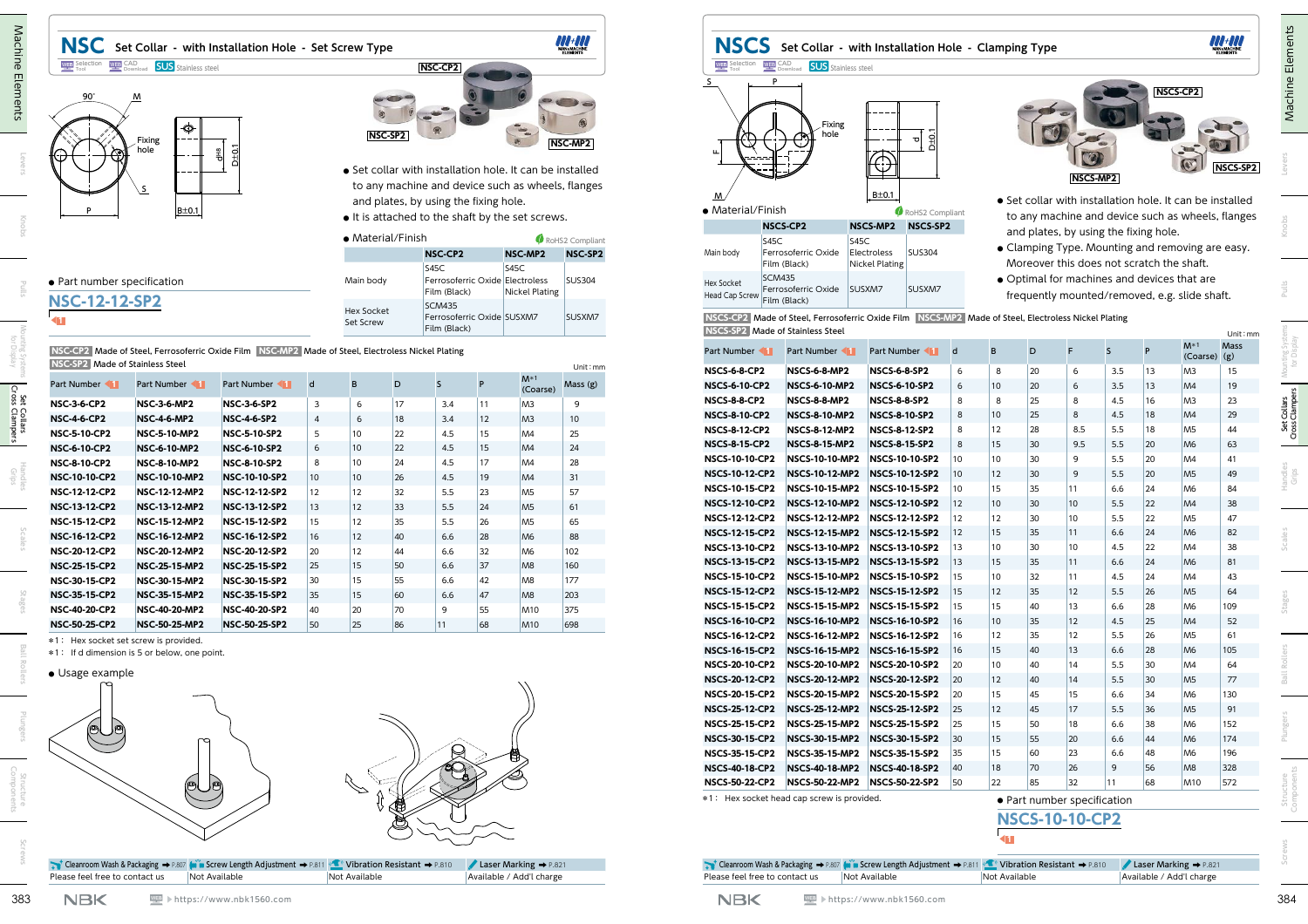

| 'ype           | .<br><b>MAN&amp;MACHINE</b> |
|----------------|-----------------------------|
| NSC-CP2        |                             |
|                |                             |
|                |                             |
| <b>NSC-SP2</b> | NSC-MP2                     |
|                |                             |

- **●** Set collar with installation hole. It can be installed to any machine and device such as wheels, flanges and plates, by using the fixing hole.
- **●** It is attached to the shaft by the set screws.

| • Material/Finish       |                                                             |                               | RoHS2 Compliant |
|-------------------------|-------------------------------------------------------------|-------------------------------|-----------------|
|                         | <b>NSC-CP2</b>                                              | NSC-MP2                       | NSC-SP2         |
| Main body               | S45C<br>Ferrosoferric Oxide Electroless<br>Film (Black)     | S45C<br><b>Nickel Plating</b> | <b>SUS304</b>   |
| Hex Socket<br>Set Screw | <b>SCM435</b><br>Ferrosoferric Oxide SUSXM7<br>Film (Black) |                               | SUSXM7          |

## **●** Part number specification

## **NSC-12-12-SP2**

| <b>INDICATE:</b> IVIGUE OF STATISESS STEET |                      |                      |                |    |    |     |    |                   | Unit : mm |
|--------------------------------------------|----------------------|----------------------|----------------|----|----|-----|----|-------------------|-----------|
| Part Number                                | Part Number          | Part Number          | d              | B  | D  | S   | P  | $M*1$<br>(Coarse) | Mass(g)   |
| <b>NSC-3-6-CP2</b>                         | <b>NSC-3-6-MP2</b>   | <b>NSC-3-6-SP2</b>   | 3              | 6  | 17 | 3.4 | 11 | M <sub>3</sub>    | 9         |
| <b>NSC-4-6-CP2</b>                         | <b>NSC-4-6-MP2</b>   | <b>NSC-4-6-SP2</b>   | $\overline{4}$ | 6  | 18 | 3.4 | 12 | M <sub>3</sub>    | 10        |
| <b>NSC-5-10-CP2</b>                        | <b>NSC-5-10-MP2</b>  | <b>NSC-5-10-SP2</b>  | 5              | 10 | 22 | 4.5 | 15 | M <sub>4</sub>    | 25        |
| <b>NSC-6-10-CP2</b>                        | <b>NSC-6-10-MP2</b>  | <b>NSC-6-10-SP2</b>  | 6              | 10 | 22 | 4.5 | 15 | M <sub>4</sub>    | 24        |
| <b>NSC-8-10-CP2</b>                        | <b>NSC-8-10-MP2</b>  | <b>NSC-8-10-SP2</b>  | 8              | 10 | 24 | 4.5 | 17 | M4                | 28        |
| <b>NSC-10-10-CP2</b>                       | <b>NSC-10-10-MP2</b> | <b>NSC-10-10-SP2</b> | 10             | 10 | 26 | 4.5 | 19 | M <sub>4</sub>    | 31        |
| <b>NSC-12-12-CP2</b>                       | <b>NSC-12-12-MP2</b> | <b>NSC-12-12-SP2</b> | 12             | 12 | 32 | 5.5 | 23 | M <sub>5</sub>    | 57        |
| <b>NSC-13-12-CP2</b>                       | <b>NSC-13-12-MP2</b> | <b>NSC-13-12-SP2</b> | 13             | 12 | 33 | 5.5 | 24 | M <sub>5</sub>    | 61        |
| <b>NSC-15-12-CP2</b>                       | <b>NSC-15-12-MP2</b> | <b>NSC-15-12-SP2</b> | 15             | 12 | 35 | 5.5 | 26 | M <sub>5</sub>    | 65        |
| <b>NSC-16-12-CP2</b>                       | <b>NSC-16-12-MP2</b> | <b>NSC-16-12-SP2</b> | 16             | 12 | 40 | 6.6 | 28 | M <sub>6</sub>    | 88        |
| <b>NSC-20-12-CP2</b>                       | <b>NSC-20-12-MP2</b> | <b>NSC-20-12-SP2</b> | 20             | 12 | 44 | 6.6 | 32 | M <sub>6</sub>    | 102       |
| <b>NSC-25-15-CP2</b>                       | <b>NSC-25-15-MP2</b> | <b>NSC-25-15-SP2</b> | 25             | 15 | 50 | 6.6 | 37 | M <sub>8</sub>    | 160       |
| <b>NSC-30-15-CP2</b>                       | <b>NSC-30-15-MP2</b> | <b>NSC-30-15-SP2</b> | 30             | 15 | 55 | 6.6 | 42 | M <sub>8</sub>    | 177       |
| <b>NSC-35-15-CP2</b>                       | <b>NSC-35-15-MP2</b> | <b>NSC-35-15-SP2</b> | 35             | 15 | 60 | 6.6 | 47 | M <sub>8</sub>    | 203       |
| <b>NSC-40-20-CP2</b>                       | <b>NSC-40-20-MP2</b> | <b>NSC-40-20-SP2</b> | 40             | 20 | 70 | 9   | 55 | <b>M10</b>        | 375       |
| <b>NSC-50-25-CP2</b>                       | <b>NSC-50-25-MP2</b> | <b>NSC-50-25-SP2</b> | 50             | 25 | 86 | 11  | 68 | <b>M10</b>        | 698       |



|  | Cleanroom Wash & Packaging → P.807 (wi w Screw Length Adjustment → P.811 (Carl Vibration Resistant → P.810 / Laser Marking → P.821 |                      |
|--|------------------------------------------------------------------------------------------------------------------------------------|----------------------|
|  |                                                                                                                                    | <u>la universita</u> |

|                                  | NSCS-CP2 Made of Steel, Ferrosoferric Oxide Film NSCS-MP2 Made of Steel, Electroless Nickel Plating |
|----------------------------------|-----------------------------------------------------------------------------------------------------|
| NSCS-SP2 Made of Stainless Steel |                                                                                                     |

|                                                     | <b>WEB</b> CAD <b>SUS</b> Stainless steel    |                                                                                                              |                         |                                | NSC Set Collar - with Installation Hole - Set Screw Type<br>NSC-SP2 | NSC-CP2                                                     |          |                                                                                                                                                                   |                 | <b>NSCS</b><br><b>WEB</b> Selection                  | <b>WEB</b> CAD <b>SUS</b> Stainless steel<br>Fixing<br>hole                                                     |                                                                            |              |                   | Set Collar - with Installation Hole - Clamping Type |                                                                                                                           |            |              | NSCS-CP2                                                      |             |
|-----------------------------------------------------|----------------------------------------------|--------------------------------------------------------------------------------------------------------------|-------------------------|--------------------------------|---------------------------------------------------------------------|-------------------------------------------------------------|----------|-------------------------------------------------------------------------------------------------------------------------------------------------------------------|-----------------|------------------------------------------------------|-----------------------------------------------------------------------------------------------------------------|----------------------------------------------------------------------------|--------------|-------------------|-----------------------------------------------------|---------------------------------------------------------------------------------------------------------------------------|------------|--------------|---------------------------------------------------------------|-------------|
|                                                     | Fixing<br>hole<br>B±0.1                      | ior<br>C<br>륔                                                                                                |                         |                                |                                                                     | and plates, by using the fixing hole.                       |          | • Set collar with installation hole. It can be installed<br>to any machine and device such as wheels, flanges<br>• It is attached to the shaft by the set screws. | NSC-MP2         | • Material/Finish                                    | Ŋ<br><b>NSCS-CP2</b>                                                                                            | $\frac{1}{10}$<br>⊕<br>$B \pm 0.1$<br>RoHS2 Compliant<br>NSCS-MP2 NSCS-SP2 |              |                   |                                                     | NSCS-MP2<br>• Set collar with installation hole. It can be installed<br>to any machine and device such as wheels, flanges |            |              | $\mathbb{C}$                                                  | NSCS-SP2    |
|                                                     |                                              |                                                                                                              |                         | • Material/Finish              |                                                                     |                                                             |          |                                                                                                                                                                   | RoHS2 Compliant | <b>S45C</b>                                          | <b>S45C</b>                                                                                                     |                                                                            |              |                   |                                                     | and plates, by using the fixing hole.                                                                                     |            |              |                                                               |             |
|                                                     |                                              |                                                                                                              |                         |                                |                                                                     | <b>NSC-CP2</b>                                              |          | NSC-MP2                                                                                                                                                           | NSC-SP2         | Main body                                            | Ferrosoferric Oxide                                                                                             | Electroless<br><b>SUS304</b>                                               |              |                   |                                                     | • Clamping Type. Mounting and removing are easy.                                                                          |            |              |                                                               |             |
|                                                     |                                              |                                                                                                              |                         |                                |                                                                     | S45C                                                        |          | S45C                                                                                                                                                              |                 |                                                      | Film (Black)                                                                                                    | <b>Nickel Plating</b>                                                      |              |                   |                                                     | Moreover this does not scratch the shaft.                                                                                 |            |              |                                                               |             |
| • Part number specification<br><b>NSC-12-12-SP2</b> |                                              |                                                                                                              |                         | Main body                      |                                                                     | Ferrosoferric Oxide Electroless<br>Film (Black)             |          | Nickel Plating                                                                                                                                                    | <b>SUS304</b>   | <b>SCM435</b><br><b>Hex Socket</b><br>Head Cap Screw | Ferrosoferric Oxide<br>Film (Black)                                                                             | SUSXM7<br>SUSXM7                                                           |              |                   |                                                     | • Optimal for machines and devices that are<br>frequently mounted/removed, e.g. slide shaft.                              |            |              |                                                               |             |
|                                                     |                                              |                                                                                                              |                         | <b>Hex Socket</b><br>Set Screw |                                                                     | <b>SCM435</b><br>Ferrosoferric Oxide SUSXM7<br>Film (Black) |          |                                                                                                                                                                   | SUSXM7          | NSCS-SP2 Made of Stainless Steel                     | NSCS-CP2 Made of Steel, Ferrosoferric Oxide Film NSCS-MP2 Made of Steel, Electroless Nickel Plating             |                                                                            |              |                   |                                                     |                                                                                                                           |            |              |                                                               | Unit: mm    |
| NSC-SP2 Made of Stainless Steel                     |                                              | NSC-CP2 Made of Steel, Ferrosoferric Oxide Film NSC-MP2 Made of Steel, Electroless Nickel Plating            |                         |                                |                                                                     |                                                             |          |                                                                                                                                                                   |                 | <b>Part Number</b>                                   | Part Number 1                                                                                                   | <b>Part Number</b>                                                         |              | B                 | D                                                   |                                                                                                                           | <b>S</b>   | P            | $M^*$ <sup>1</sup><br>$(Coarse)$ $(g)$                        | <b>Mass</b> |
|                                                     |                                              |                                                                                                              |                         |                                |                                                                     |                                                             |          | $M^*$ <sup>1</sup>                                                                                                                                                | Unit: mm        | <b>NSCS-6-8-CP2</b>                                  | <b>NSCS-6-8-MP2</b>                                                                                             | <b>NSCS-6-8-SP2</b>                                                        | 6            | 8                 | 20                                                  | -6                                                                                                                        | 3.5        | 13           | M <sub>3</sub>                                                | 15          |
| Part Number 1                                       | Part Number 1                                | Part Number 1                                                                                                |                         |                                | D                                                                   |                                                             |          | (Coarse)                                                                                                                                                          | Mass (g)        | <b>NSCS-6-10-CP2</b>                                 | <b>NSCS-6-10-MP2</b>                                                                                            | <b>NSCS-6-10-SP2</b>                                                       | 6            | 10 <sup>°</sup>   | 20                                                  | 6                                                                                                                         | 3.5        | 13           | M4                                                            | 19          |
| <b>NSC-3-6-CP2</b>                                  | <b>NSC-3-6-MP2</b>                           | <b>NSC-3-6-SP2</b>                                                                                           | $\overline{\mathbf{3}}$ | - 6                            | 17                                                                  | 3.4                                                         | 11       | M <sub>3</sub>                                                                                                                                                    | -9              | <b>NSCS-8-8-CP2</b>                                  | <b>NSCS-8-8-MP2</b>                                                                                             | <b>NSCS-8-8-SP2</b>                                                        | 8            | -8                | 25                                                  | 8                                                                                                                         | 4.5        | 16           | M <sub>3</sub>                                                | 23          |
| <b>NSC-4-6-CP2</b>                                  | <b>NSC-4-6-MP2</b>                           | <b>NSC-4-6-SP2</b>                                                                                           | $\overline{4}$          | 6                              | 18                                                                  | 3.4                                                         | 12       | M <sub>3</sub>                                                                                                                                                    | 10              | <b>NSCS-8-10-CP2</b>                                 | <b>NSCS-8-10-MP2</b>                                                                                            | <b>NSCS-8-10-SP2</b>                                                       | 8            | 10                | 25                                                  | 8                                                                                                                         | 4.5        | 18           | M4                                                            | 29          |
| <b>NSC-5-10-CP2</b>                                 | <b>NSC-5-10-MP2</b>                          | <b>NSC-5-10-SP2</b>                                                                                          | -5                      | 10                             | 22                                                                  | 4.5                                                         | 15       | M4                                                                                                                                                                | 25              | <b>NSCS-8-12-CP2</b>                                 | <b>NSCS-8-12-MP2</b>                                                                                            | <b>NSCS-8-12-SP2</b>                                                       | 8            | 12                | 28                                                  | 8.5                                                                                                                       | 5.5        | 18           | M <sub>5</sub>                                                | 44          |
| <b>NSC-6-10-CP2</b>                                 | <b>NSC-6-10-MP2</b>                          | <b>NSC-6-10-SP2</b>                                                                                          | 6                       | 10                             | 22                                                                  | 4.5                                                         | 15       | M4                                                                                                                                                                | 24              | <b>NSCS-8-15-CP2</b>                                 | <b>NSCS-8-15-MP2</b>                                                                                            | <b>NSCS-8-15-SP2</b><br><b>NSCS-10-10-SP2</b>                              | 8<br>10      | 15<br>10          | 30<br>30                                            | 9.5<br>-9                                                                                                                 | 5.5<br>5.5 | 20<br>20     | M <sub>6</sub><br>M4                                          | 63<br>41    |
| <b>NSC-8-10-CP2</b>                                 | <b>NSC-8-10-MP2</b>                          | <b>NSC-8-10-SP2</b>                                                                                          | 8                       | 10                             | 24                                                                  | 4.5                                                         | 17       | M4                                                                                                                                                                | 28              | <b>NSCS-10-10-CP2</b>                                | <b>NSCS-10-10-MP2</b>                                                                                           |                                                                            |              |                   |                                                     |                                                                                                                           |            |              |                                                               |             |
| <b>NSC-10-10-CP2</b>                                | <b>NSC-10-10-MP2</b>                         | <b>NSC-10-10-SP2</b>                                                                                         | 10                      | 10                             | 26                                                                  | 4.5                                                         | 19       | M4                                                                                                                                                                | 31              | <b>NSCS-10-12-CP2</b><br><b>NSCS-10-15-CP2</b>       | <b>NSCS-10-12-MP2</b>                                                                                           | <b>NSCS-10-12-SP2</b><br>NSCS-10-15-MP2 NSCS-10-15-SP2                     | 10<br>10     | 12<br>15          | 30<br>35                                            | -9<br> 11                                                                                                                 | 5.5<br>6.6 | 20<br>24     | M <sub>5</sub><br>M <sub>6</sub>                              | 49<br>84    |
| <b>NSC-12-12-CP2</b>                                | NSC-12-12-MP2                                | NSC-12-12-SP2                                                                                                | 12                      | 12                             | 32                                                                  | 5.5                                                         | 23       | M <sub>5</sub>                                                                                                                                                    | 57              | <b>NSCS-12-10-CP2</b>                                | NSCS-12-10-MP2 NSCS-12-10-SP2                                                                                   |                                                                            | 12           | 10                | 30                                                  | $ 10\rangle$                                                                                                              | 5.5        | 22           | M4                                                            | 38          |
| <b>NSC-13-12-CP2</b>                                | <b>NSC-13-12-MP2</b>                         | NSC-13-12-SP2                                                                                                | 13                      | 12                             | 33                                                                  | 5.5                                                         | 24       | M <sub>5</sub>                                                                                                                                                    | 61              | <b>NSCS-12-12-CP2</b>                                |                                                                                                                 | NSCS-12-12-MP2 NSCS-12-12-SP2                                              | 12           | 12                | 30                                                  | 10                                                                                                                        | 5.5        | 22           | M <sub>5</sub>                                                | 47          |
| <b>NSC-15-12-CP2</b>                                | <b>NSC-15-12-MP2</b>                         | NSC-15-12-SP2                                                                                                | 15                      | 12                             | 35                                                                  | 5.5                                                         | 26       | M <sub>5</sub>                                                                                                                                                    | 65              | <b>NSCS-12-15-CP2</b>                                |                                                                                                                 | NSCS-12-15-MP2 NSCS-12-15-SP2                                              | 12           | 15                | 35                                                  | 11                                                                                                                        | 6.6        | 24           | M <sub>6</sub>                                                | 82          |
| <b>NSC-16-12-CP2</b><br><b>NSC-20-12-CP2</b>        | <b>NSC-16-12-MP2</b>                         | <b>NSC-16-12-SP2</b><br>NSC-20-12-SP2                                                                        | 16                      | 12                             | 40                                                                  | 6.6                                                         | 28       | M <sub>6</sub>                                                                                                                                                    | 88              | <b>NSCS-13-10-CP2</b>                                |                                                                                                                 | NSCS-13-10-MP2 NSCS-13-10-SP2                                              | 13           | 10                | 30                                                  | 10                                                                                                                        | 4.5        | 22           | M4                                                            | 38          |
| <b>NSC-25-15-CP2</b>                                | <b>NSC-20-12-MP2</b><br><b>NSC-25-15-MP2</b> | <b>NSC-25-15-SP2</b>                                                                                         | 20<br>25                | 12<br>15                       | 44<br>50                                                            | 6.6<br>6.6                                                  | 32<br>37 | M <sub>6</sub><br>M <sub>8</sub>                                                                                                                                  | 102<br>160      | <b>NSCS-13-15-CP2</b>                                |                                                                                                                 | NSCS-13-15-MP2 NSCS-13-15-SP2                                              | $ 13\rangle$ | 15                | 35                                                  | 11                                                                                                                        | 6.6        | 24           | M <sub>6</sub>                                                | 81          |
| <b>NSC-30-15-CP2</b>                                | <b>NSC-30-15-MP2</b>                         | NSC-30-15-SP2                                                                                                | 30                      | 15                             | 55                                                                  | 6.6                                                         | 42       | M <sub>8</sub>                                                                                                                                                    | 177             | <b>NSCS-15-10-CP2</b>                                |                                                                                                                 | NSCS-15-10-MP2 NSCS-15-10-SP2                                              | 15           | 10                | 32                                                  | 11                                                                                                                        | 4.5        | 24           | M4                                                            | 43          |
| <b>NSC-35-15-CP2</b>                                | <b>NSC-35-15-MP2</b>                         | NSC-35-15-SP2                                                                                                | 35                      | 15 <sup>2</sup>                | 60                                                                  | 6.6                                                         | 17       | M <sub>8</sub>                                                                                                                                                    | 203             |                                                      | NSCS-15-12-CP2 NSCS-15-12-MP2 NSCS-15-12-SP2                                                                    |                                                                            | 15           | $12 \overline{ }$ | 35                                                  | 12                                                                                                                        | 5.5        | 26           | M <sub>5</sub>                                                |             |
| <b>NSC-40-20-CP2</b>                                | NSC-40-20-MP2                                | NSC-40-20-SP2                                                                                                | 40                      | 20                             | 70                                                                  | 9                                                           | 55       | <b>M10</b>                                                                                                                                                        | 375             | <b>NSCS-15-15-CP2</b>                                | NSCS-15-15-MP2 NSCS-15-15-SP2                                                                                   |                                                                            | 15           | 15                | 40                                                  | $ 13\rangle$                                                                                                              | 6.6        | 28           | M <sub>6</sub>                                                | 109         |
| <b>NSC-50-25-CP2</b>                                | <b>NSC-50-25-MP2</b>                         | <b>NSC-50-25-SP2</b>                                                                                         | 50                      | 25                             | 86                                                                  | 11                                                          | 68       | <b>M10</b>                                                                                                                                                        | 698             | <b>NSCS-16-10-CP2</b>                                | NSCS-16-10-MP2 NSCS-16-10-SP2                                                                                   |                                                                            | 16           | 10 <sup>°</sup>   | 35                                                  | 12                                                                                                                        | 4.5        | 25           | M4                                                            | 52          |
|                                                     | *1: Hex socket set screw is provided.        |                                                                                                              |                         |                                |                                                                     |                                                             |          |                                                                                                                                                                   |                 | <b>NSCS-16-12-CP2</b>                                | NSCS-16-12-MP2 NSCS-16-12-SP2                                                                                   |                                                                            | 16           | 12                | 35                                                  | 12                                                                                                                        | 5.5        | 26           | M <sub>5</sub>                                                | 61          |
|                                                     | *1: If d dimension is 5 or below, one point. |                                                                                                              |                         |                                |                                                                     |                                                             |          |                                                                                                                                                                   |                 |                                                      | NSCS-16-15-CP2 NSCS-16-15-MP2 NSCS-16-15-SP2                                                                    |                                                                            | 16           | 15                | 40                                                  | $ 13\rangle$                                                                                                              | 6.6        | 28           | M <sub>6</sub>                                                | 105         |
| • Usage example                                     |                                              |                                                                                                              |                         |                                |                                                                     |                                                             |          |                                                                                                                                                                   |                 | <b>NSCS-20-10-CP2</b>                                | NSCS-20-10-MP2 NSCS-20-10-SP2                                                                                   |                                                                            | 20           | 10                | 40                                                  | 14                                                                                                                        | 5.5        | 30           | M4                                                            | 64          |
|                                                     |                                              |                                                                                                              |                         |                                |                                                                     |                                                             |          |                                                                                                                                                                   |                 | <b>NSCS-20-12-CP2</b>                                | NSCS-20-12-MP2 NSCS-20-12-SP2                                                                                   |                                                                            | 20           | 12                | 40                                                  | 14                                                                                                                        | 5.5        | $ 30\rangle$ | M <sub>5</sub>                                                | 77          |
|                                                     |                                              |                                                                                                              |                         |                                |                                                                     |                                                             |          |                                                                                                                                                                   |                 | <b>NSCS-20-15-CP2</b>                                | NSCS-20-15-MP2 NSCS-20-15-SP2                                                                                   |                                                                            | 20           | 15                | 45                                                  | 15                                                                                                                        | 6.6        | 34           | M <sub>6</sub>                                                | 130         |
|                                                     |                                              |                                                                                                              |                         |                                |                                                                     |                                                             |          |                                                                                                                                                                   |                 |                                                      | NSCS-25-12-CP2 NSCS-25-12-MP2 NSCS-25-12-SP2                                                                    |                                                                            | 25           | 12                | 45                                                  | 17                                                                                                                        | 5.5        | 36           | M <sub>5</sub>                                                | 91          |
| Q                                                   |                                              |                                                                                                              |                         |                                |                                                                     |                                                             |          |                                                                                                                                                                   |                 | <b>NSCS-25-15-CP2</b>                                | NSCS-25-15-MP2 NSCS-25-15-SP2                                                                                   |                                                                            | 25           | 15                | 50                                                  | 18                                                                                                                        | 6.6        | 38           | M <sub>6</sub>                                                | 152         |
|                                                     |                                              |                                                                                                              |                         |                                |                                                                     |                                                             |          |                                                                                                                                                                   |                 |                                                      | NSCS-30-15-CP2 NSCS-30-15-MP2 NSCS-30-15-SP2                                                                    |                                                                            | $ 30\rangle$ | 15                | 55                                                  | $ 20\rangle$                                                                                                              | 6.6        | 44           | M6                                                            | 174         |
|                                                     |                                              |                                                                                                              |                         |                                |                                                                     |                                                             |          |                                                                                                                                                                   |                 | <b>NSCS-35-15-CP2</b>                                | NSCS-35-15-MP2 NSCS-35-15-SP2                                                                                   |                                                                            | 35           | 15                | 60                                                  | 23                                                                                                                        | 6.6        | 48           | M <sub>6</sub>                                                | 196         |
|                                                     |                                              |                                                                                                              |                         |                                |                                                                     |                                                             |          |                                                                                                                                                                   |                 |                                                      | NSCS-40-18-CP2 NSCS-40-18-MP2 NSCS-40-18-SP2<br>NSCS-50-22-CP2 NSCS-50-22-MP2 NSCS-50-22-SP2 50                 |                                                                            | 40           | 18<br>22          | 70<br>85                                            | 26<br>32                                                                                                                  | 9<br>11    | 56<br>68     | M <sub>8</sub><br>M10                                         | 328<br>572  |
|                                                     | $\circledcirc$                               |                                                                                                              |                         |                                |                                                                     |                                                             |          |                                                                                                                                                                   |                 | *1: Hex socket head cap screw is provided.           |                                                                                                                 |                                                                            |              |                   |                                                     |                                                                                                                           |            |              |                                                               |             |
|                                                     |                                              |                                                                                                              |                         |                                |                                                                     |                                                             |          |                                                                                                                                                                   |                 |                                                      |                                                                                                                 |                                                                            |              |                   |                                                     | · Part number specification<br><b>NSCS-10-10-CP2</b>                                                                      |            |              |                                                               |             |
| Please feel free to contact us                      | Not Available                                | Cleanroom Wash & Packaging → P.807 (with Screw Length Adjustment → P.811 (Canal Vibration Resistant → P.810) |                         | Not Available                  |                                                                     |                                                             |          | Laser Marking + P.821<br>Available / Add'l charge                                                                                                                 |                 | Please feel free to contact us                       | The Cleanroom Wash & Packaging → P.807 (with Screw Length Adjustment → P.811 (Canal Vibration Resistant → P.810 | Not Available                                                              |              | Not Available     |                                                     |                                                                                                                           |            |              | Laser Marking $\rightarrow$ P.821<br>Available / Add'l charge |             |

| <b>NSCS-10-10-CP2</b> |  |
|-----------------------|--|
|                       |  |

|                                | <b>t</b> Cleanroom Wash & Packaging $\rightarrow$ P.807 (m) in Screw Length Adjustment $\rightarrow$ P.811 (contract on Resistant $\rightarrow$ P.810 (Laser Marking $\rightarrow$ P.821 |               |                          |
|--------------------------------|------------------------------------------------------------------------------------------------------------------------------------------------------------------------------------------|---------------|--------------------------|
| Please feel free to contact us | Not Available                                                                                                                                                                            | Not Available | Available / Add'l charge |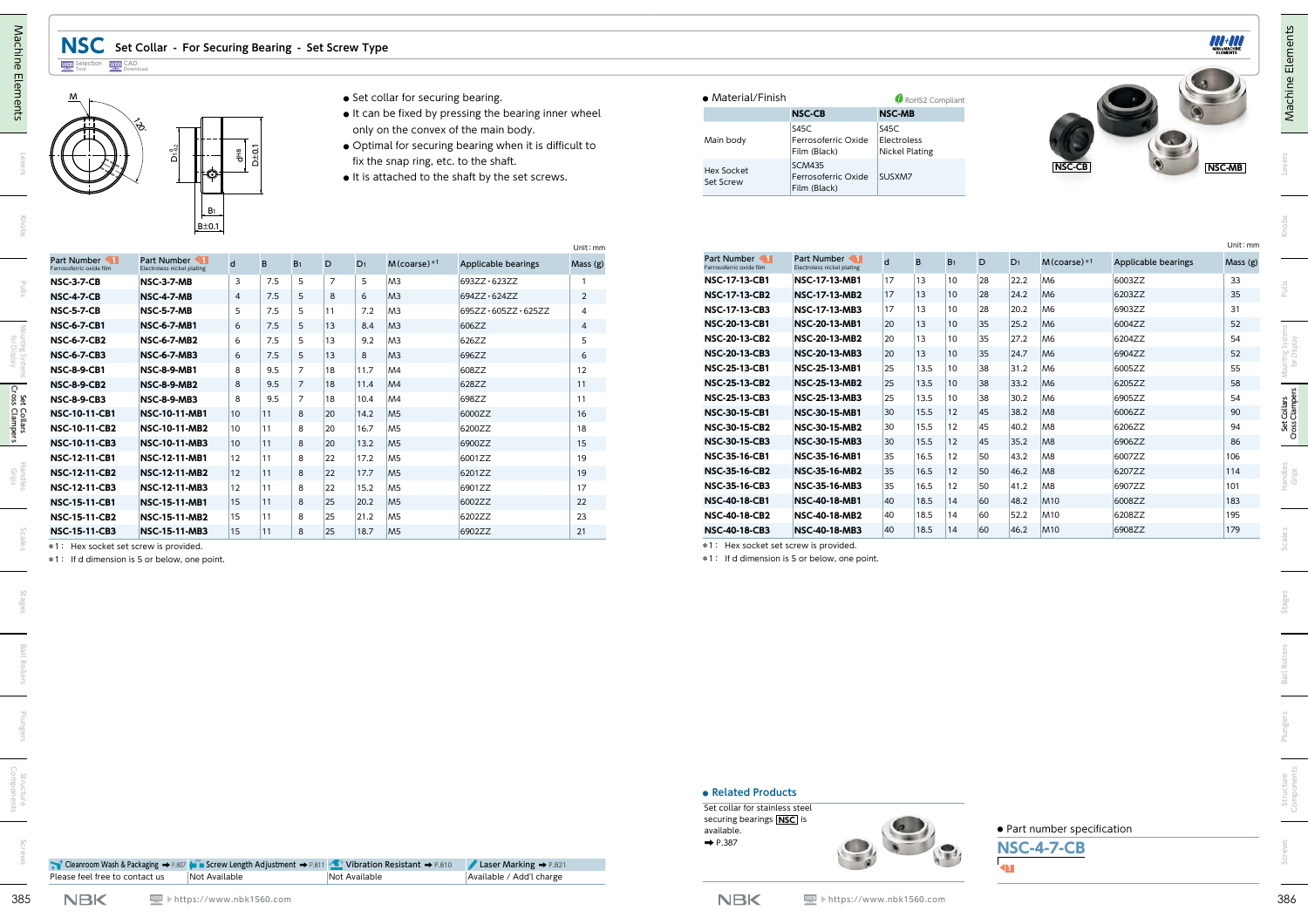| M                                       |                                                               |                         |           |                |                |                | • Set collar for securing bearing.    |                                                        |                | • Material/Finish                                                                                      |                                             |                | RoHS2 Compliant       |                |    |       |                                                  |                     |               |
|-----------------------------------------|---------------------------------------------------------------|-------------------------|-----------|----------------|----------------|----------------|---------------------------------------|--------------------------------------------------------|----------------|--------------------------------------------------------------------------------------------------------|---------------------------------------------|----------------|-----------------------|----------------|----|-------|--------------------------------------------------|---------------------|---------------|
|                                         |                                                               |                         |           |                |                |                |                                       | • It can be fixed by pressing the bearing inner wheel  |                |                                                                                                        | <b>NSC-CB</b>                               | <b>NSC-MB</b>  |                       |                |    |       |                                                  |                     |               |
|                                         | ∖୫                                                            |                         |           |                |                |                |                                       | only on the convex of the main body.                   |                |                                                                                                        | <b>S45C</b>                                 | S45C           |                       |                |    |       |                                                  |                     |               |
|                                         |                                                               |                         |           |                |                |                |                                       | • Optimal for securing bearing when it is difficult to |                | Main body                                                                                              | Ferrosoferric Oxide<br>Film (Black)         | Electroless    | <b>Nickel Plating</b> |                |    |       |                                                  |                     |               |
|                                         | ې<br>G                                                        |                         | $D\pm 0.$ |                |                |                | fix the snap ring, etc. to the shaft. |                                                        |                |                                                                                                        | <b>SCM435</b>                               |                |                       |                |    |       | <b>NSC-CB</b>                                    |                     | <b>NSC-MB</b> |
|                                         | ю                                                             |                         |           |                |                |                |                                       | • It is attached to the shaft by the set screws.       |                | <b>Hex Socket</b><br>Set Screw                                                                         | Ferrosoferric Oxide<br>Film (Black)         | SUSXM7         |                       |                |    |       |                                                  |                     |               |
|                                         | $B_1$<br>$B \pm 0.1$                                          |                         |           |                |                |                |                                       |                                                        | Unit: mm       |                                                                                                        |                                             |                |                       |                |    |       |                                                  |                     | Unit: mm      |
| Part Number<br>Ferrosoferric oxide film | Part Number 1<br>Electroless nickel plating                   | $\mathsf{d}$            | B         | B <sub>1</sub> | D              | D <sub>1</sub> | $M$ (coarse) $*1$                     | Applicable bearings                                    | Mass (g)       | Part Number 11<br>errosoferric oxide film                                                              | Part Number 1<br>Electroless nickel plating | $\overline{d}$ | B                     | B <sub>1</sub> | D  | $D_1$ | $M$ (coarse) $*1$                                | Applicable bearings | Mass (g)      |
| <b>NSC-3-7-CB</b>                       | <b>NSC-3-7-MB</b>                                             | $\overline{\mathbf{3}}$ | 7.5       | 5              | $\overline{7}$ | 5              | M <sub>3</sub>                        | 693ZZ · 623ZZ                                          | $\overline{1}$ | <b>NSC-17-13-CB1</b>                                                                                   | <b>NSC-17-13-MB1</b>                        | 17             | 13                    | 10             | 28 | 22.2  | M <sub>6</sub>                                   | 6003ZZ              | 33            |
| <b>NSC-4-7-CB</b>                       | <b>NSC-4-7-MB</b>                                             | $\overline{4}$          | 7.5       | 5              | 8              | 6              | M <sub>3</sub>                        | 694ZZ · 624ZZ                                          | $\overline{2}$ | <b>NSC-17-13-CB2</b>                                                                                   | <b>NSC-17-13-MB2</b>                        | 17             | 13                    | 10             | 28 | 24.2  | <b>M6</b>                                        | 6203ZZ              | 35            |
| <b>NSC-5-7-CB</b>                       | <b>NSC-5-7-MB</b>                                             | 5                       | 7.5       | -5             | 11             | 7.2            | M <sub>3</sub>                        | 695ZZ · 605ZZ · 625ZZ                                  | $\overline{4}$ | <b>NSC-17-13-CB3</b>                                                                                   | <b>NSC-17-13-MB3</b>                        | 17             | 13                    | 10             | 28 | 20.2  | M <sub>6</sub>                                   | 6903ZZ              | 31            |
| <b>NSC-6-7-CB1</b>                      | <b>NSC-6-7-MB1</b>                                            | 6                       | 7.5       | 5              | 13             | 8.4            | M <sup>3</sup>                        | 606ZZ                                                  | $\overline{4}$ | <b>NSC-20-13-CB1</b>                                                                                   | NSC-20-13-MB1                               | 20             | 13                    | 10             | 35 | 25.2  | <b>M6</b>                                        | 6004ZZ              | 52            |
| <b>NSC-6-7-CB2</b>                      | <b>NSC-6-7-MB2</b>                                            | 6                       | 7.5       | -5             | 13             | 9.2            | M <sub>3</sub>                        | 626ZZ                                                  | 5              | <b>NSC-20-13-CB2</b>                                                                                   | NSC-20-13-MB2                               | 20             | 13                    | 10             | 35 | 27.2  | M <sub>6</sub>                                   | 6204ZZ              | 54            |
| <b>NSC-6-7-CB3</b>                      | <b>NSC-6-7-MB3</b>                                            | 6                       | 7.5       | 5              | 13             | 8              | M <sub>3</sub>                        | 696ZZ                                                  | 6              | <b>NSC-20-13-CB3</b>                                                                                   | NSC-20-13-MB3                               | 20             | 13                    | 10             | 35 | 24.7  | <b>M6</b>                                        | 6904ZZ              | 52            |
| <b>NSC-8-9-CB1</b>                      | <b>NSC-8-9-MB1</b>                                            | 8                       | 9.5       | $\overline{7}$ | 18             | 11.7           | M4                                    | 608ZZ                                                  | 12             | NSC-25-13-CB1                                                                                          | NSC-25-13-MB1                               | 25             | 13.5                  | 10             | 38 | 31.2  | M <sub>6</sub>                                   | 6005ZZ              | 55            |
| <b>NSC-8-9-CB2</b>                      | <b>NSC-8-9-MB2</b>                                            | 8                       | 9.5       | $\overline{7}$ | 18             | 11.4           | M4                                    | 628ZZ                                                  | 11             | <b>NSC-25-13-CB2</b>                                                                                   | <b>NSC-25-13-MB2</b>                        | 25             | 13.5                  | 10             | 38 | 33.2  | M <sub>6</sub>                                   | 6205ZZ              | 58            |
| <b>NSC-8-9-CB3</b>                      | <b>NSC-8-9-MB3</b>                                            | 8                       | 9.5       | $\overline{7}$ | 18             | 10.4           | M4                                    | 698ZZ                                                  | 11             | <b>NSC-25-13-CB3</b>                                                                                   | <b>NSC-25-13-MB3</b>                        | 25             | 13.5                  | 10             | 38 | 30.2  | M <sub>6</sub>                                   | 6905ZZ              | 54            |
| <b>NSC-10-11-CB1</b>                    | <b>NSC-10-11-MB1</b>                                          | 10 <sup>°</sup>         | 11        | 8              | 20             | 14.2           | M <sub>5</sub>                        | 6000ZZ                                                 | 16             | <b>NSC-30-15-CB1</b>                                                                                   | <b>NSC-30-15-MB1</b>                        | 30             | 15.5                  | $ 12\rangle$   | 45 | 38.2  | M <sub>8</sub>                                   | 6006ZZ              | 90            |
| <b>NSC-10-11-CB2</b>                    | <b>NSC-10-11-MB2</b>                                          | 10 <sup>1</sup>         | 11        | 8              | 20             | 16.7           | M <sub>5</sub>                        | 6200ZZ                                                 | 18             | <b>NSC-30-15-CB2</b>                                                                                   | <b>NSC-30-15-MB2</b>                        | 30             | 15.5                  | 12             | 45 | 40.2  | M <sub>8</sub>                                   | 6206ZZ              | 94            |
| <b>NSC-10-11-CB3</b>                    | <b>NSC-10-11-MB3</b>                                          | 10 <sup>°</sup>         | 11        | 8              | 20             | 13.2           | M <sub>5</sub>                        | 6900ZZ                                                 | 15             | <b>NSC-30-15-CB3</b>                                                                                   | <b>NSC-30-15-MB3</b>                        | 30             | 15.5                  | $ 12\rangle$   | 45 | 35.2  | M8                                               | 6906ZZ              | 86            |
| <b>NSC-12-11-CB1</b>                    | <b>NSC-12-11-MB1</b>                                          | 12                      | 11        | 8              | 22             | 17.2           | M <sub>5</sub>                        | 6001ZZ                                                 | 19             | <b>NSC-35-16-CB1</b>                                                                                   | <b>NSC-35-16-MB1</b>                        | 35             | 16.5                  | 12             | 50 | 43.2  | M <sub>8</sub>                                   | 6007ZZ              | 106           |
| <b>NSC-12-11-CB2</b>                    | <b>NSC-12-11-MB2</b>                                          | 12                      | 11        | 8              | 22             | 17.7           | M <sub>5</sub>                        | 6201ZZ                                                 | 19             | <b>NSC-35-16-CB2</b>                                                                                   | <b>NSC-35-16-MB2</b>                        | 35             | 16.5                  | 12             | 50 | 46.2  | M <sub>8</sub>                                   | 6207ZZ              | 114           |
| <b>NSC-12-11-CB3</b>                    | <b>NSC-12-11-MB3</b>                                          | 12                      | 11        | 8              | 22             | 15.2           | M <sub>5</sub>                        | 6901ZZ                                                 | 17             | <b>NSC-35-16-CB3</b>                                                                                   | NSC-35-16-MB3                               | 35             | 16.5                  | 12             | 50 | 41.2  | M <sub>8</sub>                                   | 6907ZZ              | 101           |
| <b>NSC-15-11-CB1</b>                    | <b>NSC-15-11-MB1</b>                                          | 15                      | 11        | 8              | 25             | 20.2           | M <sub>5</sub>                        | 6002ZZ                                                 | 22             | <b>NSC-40-18-CB1</b>                                                                                   | <b>NSC-40-18-MB1</b>                        | 40             | 18.5                  | 14             | 60 | 48.2  | M10                                              | 6008ZZ              | 183           |
| <b>NSC-15-11-CB2</b>                    | <b>NSC-15-11-MB2</b>                                          | 15                      | 11        | 8              | 25             | 21.2           | M <sub>5</sub>                        | 6202ZZ                                                 | 23             | <b>NSC-40-18-CB2</b>                                                                                   | <b>NSC-40-18-MB2</b>                        | 40             | 18.5                  | 14             | 60 | 52.2  | M10                                              | 6208ZZ              | 195           |
| <b>NSC-15-11-CB3</b>                    | <b>NSC-15-11-MB3</b><br>*1: Hex socket set screw is provided. | 15                      | 11        | 8              | 25             | 18.7           | M <sub>5</sub>                        | 6902ZZ                                                 | 21             | <b>NSC-40-18-CB3</b><br>*1: Hex socket set screw is provided.                                          | <b>NSC-40-18-MB3</b>                        | 40             | 18.5                  | $ 14\rangle$   | 60 | 46.2  | M <sub>10</sub>                                  | 6908ZZ              | 179           |
|                                         |                                                               |                         |           |                |                |                |                                       |                                                        |                | • Related Products                                                                                     |                                             |                |                       |                |    |       |                                                  |                     |               |
|                                         |                                                               |                         |           |                |                |                |                                       |                                                        |                | Set collar for stainless steel<br>securing bearings <b>NSC</b> is<br>available.<br>$\rightarrow$ P.387 |                                             |                |                       |                |    |       | • Part number specification<br><b>NSC-4-7-CB</b> |                     |               |

| Cleanroom Wash & Packaging → P.807 (with Screw Length Adjustment → P.811 (Call Vibration Resistant → P.810) |  | <b>Laser Marking <math>\rightarrow</math></b> P.821 |
|-------------------------------------------------------------------------------------------------------------|--|-----------------------------------------------------|
|                                                                                                             |  | .                                                   |

## Please feel free to contact us Not Available Not Available Not Available Available Available / Add'l charge

**NSC-4-7-CB**

◀**1**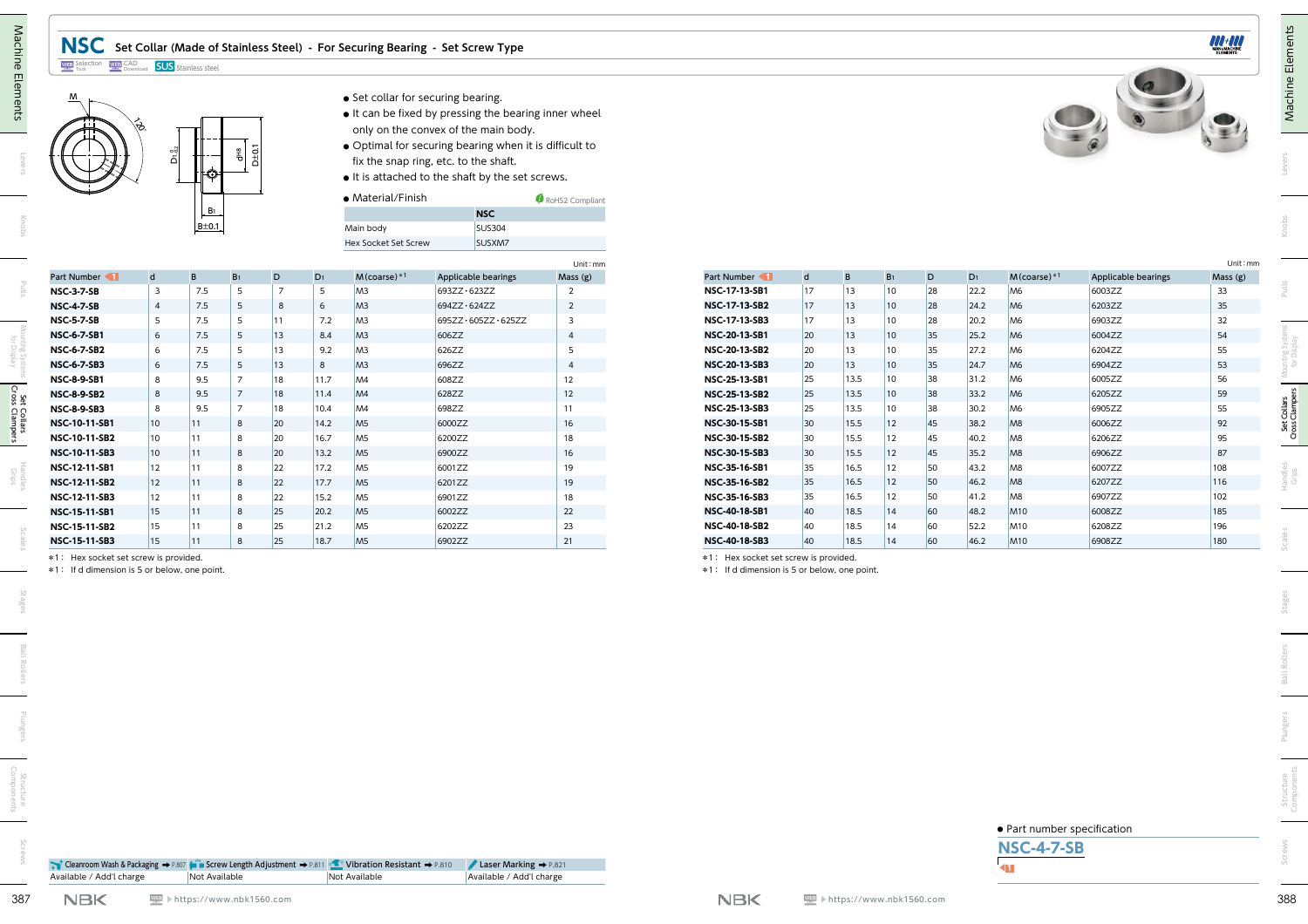## **NSC Set Collar (Made of Stainless Steel) - For Securing Bearing - Set Screw Type**

#### Selection Tool CAD Download **SUS** Stainless steel



- **●** Set collar for securing bearing.
- **●** It can be fixed by pressing the bearing inner wheel only on the convex of the main body.
- **●** Optimal for securing bearing when it is difficult to fix the snap ring, etc. to the shaft.
- **●** It is attached to the shaft by the set screws.

| RoHS2 Compliant |
|-----------------|
| <b>NSC</b>      |
| SUS304          |
| SUSXM7          |
|                 |

| ଽଽ                                       | ី<br>គ                  | Ю                    | D±0.                 |                |                |                                  | • Set collar for securing bearing.<br>• It can be fixed by pressing the bearing inner wheel<br>only on the convex of the main body.<br>• Optimal for securing bearing when it is difficult to<br>fix the snap ring, etc. to the shaft.<br>• It is attached to the shaft by the set screws. |                         |                                       |              |              |                |          |              |                                                  |                     |            |
|------------------------------------------|-------------------------|----------------------|----------------------|----------------|----------------|----------------------------------|--------------------------------------------------------------------------------------------------------------------------------------------------------------------------------------------------------------------------------------------------------------------------------------------|-------------------------|---------------------------------------|--------------|--------------|----------------|----------|--------------|--------------------------------------------------|---------------------|------------|
|                                          |                         |                      |                      |                |                | • Material/Finish                |                                                                                                                                                                                                                                                                                            | RoHS2 Compliant         |                                       |              |              |                |          |              |                                                  |                     |            |
|                                          |                         | $B_1$<br>$B \pm 0.1$ |                      |                |                | Main body                        | <b>NSC</b><br><b>SUS304</b>                                                                                                                                                                                                                                                                |                         |                                       |              |              |                |          |              |                                                  |                     |            |
|                                          |                         |                      |                      |                |                | Hex Socket Set Screw             | SUSXM7                                                                                                                                                                                                                                                                                     |                         |                                       |              |              |                |          |              |                                                  |                     |            |
|                                          |                         |                      |                      |                |                |                                  |                                                                                                                                                                                                                                                                                            | Unit: mm                |                                       |              |              |                |          |              |                                                  |                     |            |
| Part Number                              | $\mathsf{d}$            | B                    | B <sub>1</sub>       | D              | D <sub>1</sub> | $M$ (coarse) $*1$                | Applicable bearings                                                                                                                                                                                                                                                                        | Mass (g)                | Part Number                           | $\mathsf{d}$ | B            | B <sub>1</sub> | D        | $D_1$        | $M$ (coarse) $*1$                                | Applicable bearings | Mass (g)   |
| <b>NSC-3-7-SB</b>                        | $\overline{\mathbf{3}}$ | 7.5                  | $5\overline{5}$      | $\overline{7}$ | 5              | M3                               | 693ZZ · 623ZZ                                                                                                                                                                                                                                                                              | $\overline{2}$          | NSC-17-13-SB1                         | 17           | 13           | 10             | 28       | 22.2         | M6                                               | 6003ZZ              | 33         |
| <b>NSC-4-7-SB</b>                        | $\overline{4}$          | $7.5\,$              | $5\phantom{.0}$      | 8              | 6              | M <sub>3</sub>                   | 694ZZ · 624ZZ                                                                                                                                                                                                                                                                              | $\overline{2}$          | <b>NSC-17-13-SB2</b>                  | 17           | $ 13\rangle$ | $ 10\rangle$   | 28       | 24.2         | M6                                               | 6203ZZ              | 35         |
| <b>NSC-5-7-SB</b>                        | 5                       | 7.5                  | 5                    | 11             | 7.2            | M <sub>3</sub>                   | 695ZZ · 605ZZ · 625ZZ                                                                                                                                                                                                                                                                      | $\overline{\mathbf{3}}$ | <b>NSC-17-13-SB3</b>                  | 17           | 13           | 10             | 28       | 20.2         | M <sub>6</sub>                                   | 6903ZZ              | 32         |
| <b>NSC-6-7-SB1</b>                       | 6                       | 7.5                  | 5                    | 13             | 8.4            | M <sub>3</sub>                   | 606ZZ                                                                                                                                                                                                                                                                                      | $\overline{4}$          | <b>NSC-20-13-SB1</b>                  | 20           | 13           | 10             | 35       | 25.2         | M6                                               | 6004ZZ              | 54         |
| <b>NSC-6-7-SB2</b><br><b>NSC-6-7-SB3</b> | 6<br>6                  | 7.5<br>7.5           | 5<br>$5\phantom{.0}$ | 13<br>13       | 9.2<br>8       | M <sub>3</sub><br>M <sub>3</sub> | 626ZZ<br>696ZZ                                                                                                                                                                                                                                                                             | 5<br>$\overline{4}$     | NSC-20-13-SB2<br><b>NSC-20-13-SB3</b> | 20<br>20     | 13<br>13     | 10<br>10       | 35<br>35 | 27.2<br>24.7 | M <sub>6</sub><br>M6                             | 6204ZZ<br>6904ZZ    | 55<br>53   |
| <b>NSC-8-9-SB1</b>                       | 8                       | 9.5                  | $\overline{7}$       | 18             | 11.7           | MA                               | 608ZZ                                                                                                                                                                                                                                                                                      | 12                      | <b>NSC-25-13-SB1</b>                  | 25           | 13.5         | 10             | 38       | 31.2         | M <sub>6</sub>                                   | 6005ZZ              | 56         |
| <b>NSC-8-9-SB2</b>                       | 8                       | 9.5                  | $\overline{7}$       | 18             | 11.4           | MA                               | 628ZZ                                                                                                                                                                                                                                                                                      | 12                      | <b>NSC-25-13-SB2</b>                  | 25           | 13.5         | 10             | 38       | 33.2         | M6                                               | 6205ZZ              | 59         |
| <b>NSC-8-9-SB3</b>                       | 8                       | 9.5                  | $\overline{7}$       | 18             | 10.4           | MA                               | 698ZZ                                                                                                                                                                                                                                                                                      | 11                      | NSC-25-13-SB3                         | 25           | 13.5         | 10             | 38       | 30.2         | M <sub>6</sub>                                   | 6905ZZ              | 55         |
| <b>NSC-10-11-SB1</b>                     | 10                      | 11                   | 8                    | 20             | 14.2           | M <sub>5</sub>                   | 6000ZZ                                                                                                                                                                                                                                                                                     | 16                      | NSC-30-15-SB1                         | 30           | 15.5         | 12             | 45       | 38.2         | M <sub>8</sub>                                   | 6006ZZ              | 92         |
| NSC-10-11-SB2                            | $ 10\rangle$            | 11                   | 8                    | 20             | 16.7           | M <sub>5</sub>                   | 6200ZZ                                                                                                                                                                                                                                                                                     | 18                      | <b>NSC-30-15-SB2</b>                  | 30           | 15.5         | 12             | 45       | 40.2         | M <sub>8</sub>                                   | 6206ZZ              | 95         |
| NSC-10-11-SB3                            | $ 10\rangle$            | 11                   | 8                    | 20             | 13.2           | M <sub>5</sub>                   | 6900ZZ                                                                                                                                                                                                                                                                                     | 16                      | <b>NSC-30-15-SB3</b>                  | 30           | 15.5         | 12             | 45       | $35.2$       | M <sub>8</sub>                                   | 6906ZZ              | 87         |
| NSC-12-11-SB1                            | 12                      | 11                   | 8                    | 22             | 17.2           | M <sub>5</sub>                   | 6001ZZ                                                                                                                                                                                                                                                                                     | 19                      | NSC-35-16-SB1                         | 35           | 16.5         | 12             | 50       | 43.2         | M <sub>8</sub>                                   | 6007ZZ              | 108        |
| NSC-12-11-SB2                            | 12                      | 11                   | 8                    | 22             | 17.7           | M <sub>5</sub>                   | 6201ZZ                                                                                                                                                                                                                                                                                     | 19                      | <b>NSC-35-16-SB2</b>                  | 35           | 16.5         | 12             | 50       | 46.2         | M8                                               | 6207ZZ              | 116        |
| NSC-12-11-SB3                            | 12                      | 11                   | 8                    | 22             | 15.2           | M <sub>5</sub>                   | 6901ZZ                                                                                                                                                                                                                                                                                     | 18                      | <b>NSC-35-16-SB3</b>                  | 35           | 16.5         | 12             | 50       | 41.2         | M <sub>8</sub>                                   | 6907ZZ              | 102        |
| NSC-15-11-SB1<br>NSC-15-11-SB2           | 15<br>15                | 11<br> 11            | 8<br>8               | 25<br>25       | 20.2<br>21.2   | M <sub>5</sub><br>M <sub>5</sub> | 6002ZZ<br>6202ZZ                                                                                                                                                                                                                                                                           | 22<br>23                | <b>NSC-40-18-SB1</b><br>NSC-40-18-SB2 | 40<br>40     | 18.5<br>18.5 | 14 <br>14      | 60<br>60 | 48.2<br>52.2 | M <sub>10</sub><br>M <sub>10</sub>               | 6008ZZ<br>6208ZZ    | 185<br>196 |
| NSC-15-11-SB3                            | 15                      | 11                   | 8                    | 25             | 18.7           | M <sub>5</sub>                   | 6902ZZ                                                                                                                                                                                                                                                                                     | 21                      | <b>NSC-40-18-SB3</b>                  | 40           | 18.5         | $ 14\rangle$   | 60       | 46.2         | <b>M10</b>                                       | 6908ZZ              | 180        |
|                                          |                         |                      |                      |                |                |                                  |                                                                                                                                                                                                                                                                                            |                         |                                       |              |              |                |          |              |                                                  |                     |            |
|                                          |                         |                      |                      |                |                |                                  |                                                                                                                                                                                                                                                                                            |                         |                                       |              |              |                |          |              | • Part number specification<br><b>NSC-4-7-SB</b> |                     |            |

|  | Scales |
|--|--------|
|  |        |
|  |        |

| • Part number specification |  |  |  |  |
|-----------------------------|--|--|--|--|
|-----------------------------|--|--|--|--|





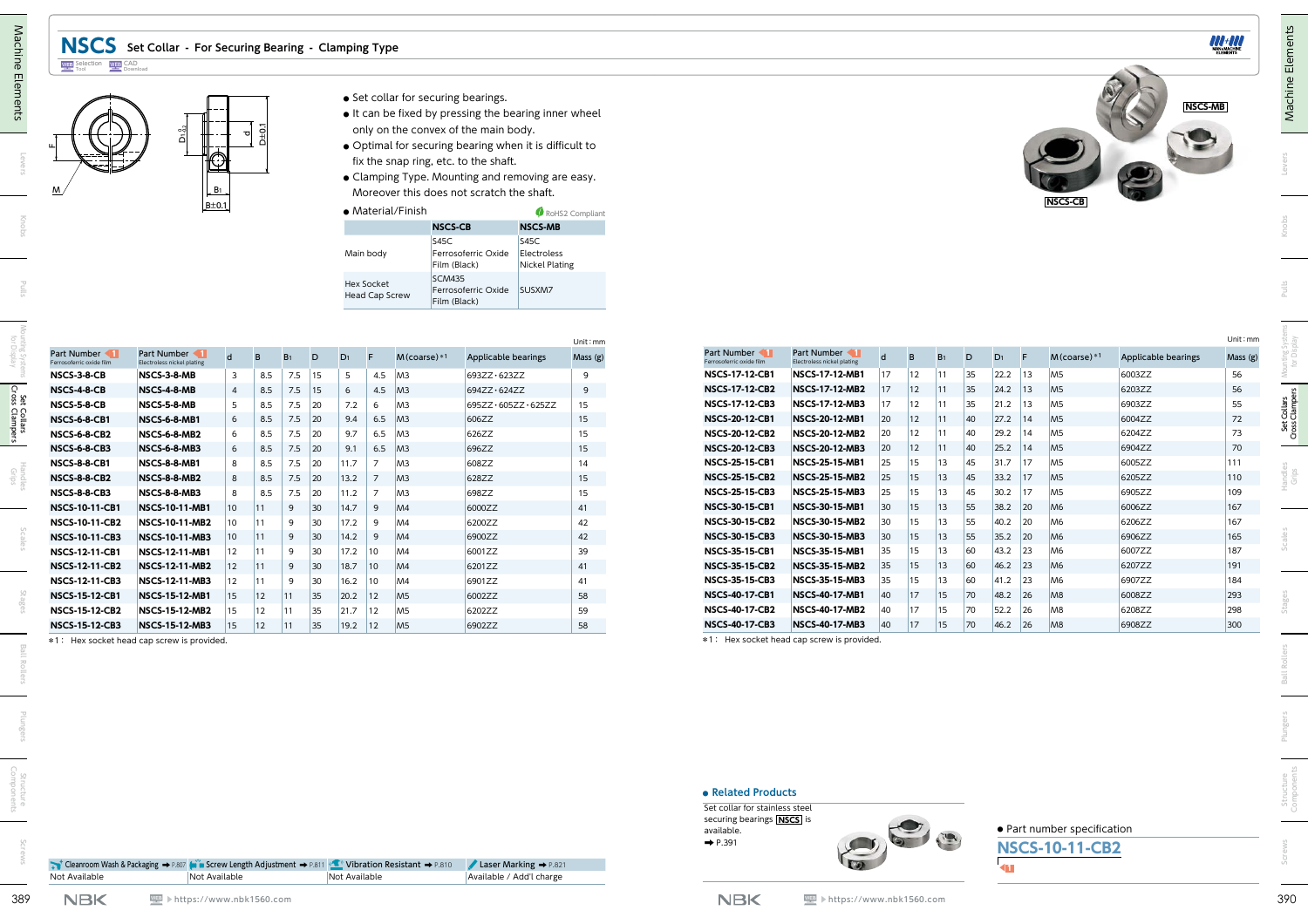



- **●** It can be fixed by pressing the bearing inner wheel only on the convex of the main body.
- **●** Optimal for securing bearing when it is difficult to fix the snap ring, etc. to the shaft.
- **●** Clamping Type. Mounting and removing are easy. Moreover this does not scratch the shaft.

| • Material/Finish                   |                                                      | RoHS2 Compliant                              |
|-------------------------------------|------------------------------------------------------|----------------------------------------------|
|                                     | <b>NSCS-CB</b>                                       | <b>NSCS-MB</b>                               |
| Main body                           | S45C<br>Ferrosoferric Oxide<br>Film (Black)          | S45C<br>Electroless<br><b>Nickel Plating</b> |
| Hex Socket<br><b>Head Cap Screw</b> | <b>SCM435</b><br>Ferrosoferric Oxide<br>Film (Black) | SUSXM7                                       |

|                                            |                                            |                |              |                |           |                          | <b>Hex Socket</b><br>Head Cap Screw | <b>SCM435</b><br>Film (Black)    | Film (Black)<br>Nickel Plating<br>Ferrosoferric Oxide<br>SUSXM7 |          |                                                |                                                |              |          |                |          |              |          |                                  |                     |           |
|--------------------------------------------|--------------------------------------------|----------------|--------------|----------------|-----------|--------------------------|-------------------------------------|----------------------------------|-----------------------------------------------------------------|----------|------------------------------------------------|------------------------------------------------|--------------|----------|----------------|----------|--------------|----------|----------------------------------|---------------------|-----------|
|                                            |                                            |                |              |                |           |                          |                                     |                                  |                                                                 | Unit: mm |                                                |                                                |              |          |                |          |              |          |                                  |                     | Unit: mm  |
| Part Number 1<br>Ferrosoferric oxide film  | Part Number<br>Electroless nickel plating  | d              | B            | B <sub>1</sub> | D         | D <sub>1</sub>           |                                     | $M$ (coarse) $*1$                | Applicable bearings                                             | Mass (g) | Part Number<br>errosoferric oxide film         | Part Number<br>Electroless nickel plating      | d            | B        | B <sub>1</sub> | D        | $D_1$        |          | $M$ (coarse) $*1$                | Applicable bearings | Mass (g)  |
| NSCS-3-8-CB                                | NSCS-3-8-MB                                | $\overline{3}$ | 8.5          | 7.5            | 15        | 5                        | 4.5                                 | M <sup>3</sup>                   | 693ZZ · 623ZZ                                                   | 9        | <b>NSCS-17-12-CB1</b>                          | <b>NSCS-17-12-MB1</b>                          | 17           | 12       | 11             | 35       | 22.2         | 13       | M <sub>5</sub>                   | 6003ZZ              | 56        |
| <b>NSCS-4-8-CB</b>                         | NSCS-4-8-MB                                | 4              | 8.5          | 7.5            | 15        | 6                        | 4.5                                 | M <sup>3</sup>                   | 694ZZ · 624ZZ                                                   | 9        | <b>NSCS-17-12-CB2</b>                          | <b>NSCS-17-12-MB2</b>                          | 17           | 12       | 11             | 35       | 24.2         | 13       | M <sub>5</sub>                   | 6203ZZ              | 56        |
| NSCS-5-8-CB                                | NSCS-5-8-MB                                | 5              | 8.5          | $7.5$ 20       |           | 7.2                      | 6                                   | M <sub>3</sub>                   | 695ZZ · 605ZZ · 625ZZ                                           | 15       | <b>NSCS-17-12-CB3</b>                          | <b>NSCS-17-12-MB3</b>                          | 17           | 12       | 11             | 35       | 21.2         | 13       | M <sub>5</sub>                   | 6903ZZ              | 55        |
| <b>NSCS-6-8-CB1</b>                        | <b>NSCS-6-8-MB1</b>                        | 6              | 8.5          | $7.5$ 20       |           | 9.4                      | $6.5$ M3                            |                                  | 606ZZ                                                           | 15       | <b>NSCS-20-12-CB1</b>                          | <b>NSCS-20-12-MB1</b>                          | 20           | 12       | 11             | 40       | 27.2         | 14       | M <sub>5</sub>                   | 6004ZZ              | $72\,$    |
| <b>NSCS-6-8-CB2</b>                        | NSCS-6-8-MB2                               | 6              | 8.5          | $7.5$ 20       |           | 9.7                      | 6.5                                 | M <sup>3</sup>                   | 626ZZ                                                           | 15       | <b>NSCS-20-12-CB2</b>                          | <b>NSCS-20-12-MB2</b>                          | 20           | 12       | 11             | 40       | 29.2         | 14       | M <sub>5</sub>                   | 6204ZZ<br>6904ZZ    | 73        |
| <b>NSCS-6-8-CB3</b>                        | <b>NSCS-6-8-MB3</b>                        | 6<br>8         | 8.5          | $7.5$ 20       |           | 9.1                      | 6.5<br>$\overline{7}$               | M3                               | 696ZZ                                                           | 15       | <b>NSCS-20-12-CB3</b><br><b>NSCS-25-15-CB1</b> | <b>NSCS-20-12-MB3</b><br><b>NSCS-25-15-MB1</b> | 20<br>25     | 12<br>15 | 11<br>13       | 40<br>45 | 25.2<br>31.7 | 14<br>17 | M <sub>5</sub><br>M <sub>5</sub> | 6005ZZ              | 70<br>111 |
| <b>NSCS-8-8-CB1</b><br><b>NSCS-8-8-CB2</b> | <b>NSCS-8-8-MB1</b><br><b>NSCS-8-8-MB2</b> |                | 8.5<br>8.5   | 7.5<br>7.5     | 20<br> 20 | 11.7<br>13.2             | $\overline{7}$                      | M <sub>3</sub><br>M <sub>3</sub> | 608ZZ<br>628ZZ                                                  | 14<br>15 | <b>NSCS-25-15-CB2</b>                          | <b>NSCS-25-15-MB2</b>                          | 25           | 15       | 13             | 45       | 33.2         | 17       | M <sub>5</sub>                   | 6205ZZ              | 110       |
| <b>NSCS-8-8-CB3</b>                        | <b>NSCS-8-8-MB3</b>                        | 8              | 8.5          | 7.5            | 20        | 11.2                     | $\overline{7}$                      | M <sub>3</sub>                   | 698ZZ                                                           | 15       | <b>NSCS-25-15-CB3</b>                          | <b>NSCS-25-15-MB3</b>                          | 25           | 15       | 13             | 45       | 30.2         | 17       | M <sub>5</sub>                   | 6905ZZ              | 109       |
| <b>NSCS-10-11-CB1</b>                      | <b>NSCS-10-11-MB1</b>                      | 10             | 11           | 9              | 30        | 14.7                     | 9                                   | M4                               | 6000ZZ                                                          | 41       | <b>NSCS-30-15-CB1</b>                          | <b>NSCS-30-15-MB1</b>                          | 30           | 15       | 13             | 55       | $38.2$       | 20       | M <sub>6</sub>                   | 6006ZZ              | 167       |
| <b>NSCS-10-11-CB2</b>                      | <b>NSCS-10-11-MB2</b>                      | 10             | 11           | 9              | 30        | 17.2                     | 9                                   | M4                               | 6200ZZ                                                          | 42       | <b>NSCS-30-15-CB2</b>                          | <b>NSCS-30-15-MB2</b>                          | 30           | 15       | 13             | 55       | 40.2         | 20       | M <sub>6</sub>                   | 6206ZZ              | 167       |
| <b>NSCS-10-11-CB3</b>                      | <b>NSCS-10-11-MB3</b>                      | 10             | 11           | 9              | 30        | 14.2                     | 9                                   | MA                               | 6900ZZ                                                          | 42       | <b>NSCS-30-15-CB3</b>                          | <b>NSCS-30-15-MB3</b>                          | $ 30\rangle$ | 15       | 13             | 55       | 35.2         | 20       | M6                               | 6906ZZ              | 165       |
| <b>NSCS-12-11-CB1</b>                      | <b>NSCS-12-11-MB1</b>                      | 12             | 11           | 9              | 30        | 17.2                     | 10                                  | M <sub>4</sub>                   | 6001ZZ                                                          | 39       | <b>NSCS-35-15-CB1</b>                          | <b>NSCS-35-15-MB1</b>                          | 35           | 15       | 13             | 60       | 43.2         | 23       | M <sub>6</sub>                   | 6007ZZ              | 187       |
| <b>NSCS-12-11-CB2</b>                      | <b>NSCS-12-11-MB2</b>                      | 12             | 11           | 9              | 30        | 18.7                     | 10 <sup>°</sup>                     | M4                               | 6201ZZ                                                          | 41       | <b>NSCS-35-15-CB2</b>                          | <b>NSCS-35-15-MB2</b>                          | 35           | 15       | 13             | 60       | 46.2         | 23       | M <sub>6</sub>                   | 6207ZZ              | 191       |
| <b>NSCS-12-11-CB3</b>                      | <b>NSCS-12-11-MB3</b>                      | 12             | 11           | 9              | 30        | 16.2                     | 10                                  | M <sub>4</sub>                   | 6901ZZ                                                          | 41       | <b>NSCS-35-15-CB3</b>                          | <b>NSCS-35-15-MB3</b>                          | 35           | 15       | 13             | 60       | 41.2         | 23       | M <sub>6</sub>                   | 6907ZZ              | 184       |
| <b>NSCS-15-12-CB1</b>                      | <b>NSCS-15-12-MB1</b>                      | 15             | $ 12\rangle$ | $ 11\rangle$   | 35        | 20.2                     | $ 12\rangle$                        |                                  | 6002ZZ                                                          | 58       | <b>NSCS-40-17-CB1</b>                          | <b>NSCS-40-17-MB1</b>                          | 40           | 17       | 15             | 70       | 48.2         | 26       | M <sub>8</sub>                   | 6008ZZ              | 293       |
| <b>NSCS-15-12-CB2</b>                      | <b>NSCS-15-12-MB2</b>                      | 15             | 12           | 11             | 35        | 21.7                     | $ 12\rangle$                        | M <sub>5</sub>                   | 6202ZZ                                                          | 59       | <b>NSCS-40-17-CB2</b>                          | <b>NSCS-40-17-MB2</b>                          | 40           | 17       | 15             | 70       | 52.2 26      |          | M <sub>8</sub>                   | 6208ZZ              | 298       |
| <b>NSCS-15-12-CB3</b>                      | <b>NSCS-15-12-MB3</b>                      | $ 15\rangle$   | $ 12\rangle$ | 11             | 35        | $19.2$ 12 M <sub>5</sub> |                                     |                                  | 6902ZZ                                                          | 58       | <b>NSCS-40-17-CB3</b>                          | <b>NSCS-40-17-MB3</b>                          | 40           | 17       | $ 15\rangle$   | 70       | 46.2 26      |          | M8                               | 6908ZZ              | 300       |
| *1: Hex socket head cap screw is provided. |                                            |                |              |                |           |                          |                                     |                                  |                                                                 |          | *1: Hex socket head cap screw is provided.     |                                                |              |          |                |          |              |          |                                  |                     |           |

|                                               |                                                             |    |    |                |    |                |    |                   |                     | Unit : mm |
|-----------------------------------------------|-------------------------------------------------------------|----|----|----------------|----|----------------|----|-------------------|---------------------|-----------|
| Part Number<br>KП<br>Ferrosoferric oxide film | Part Number<br>$\blacksquare$<br>Electroless nickel plating | d  | B  | B <sub>1</sub> | D  | D <sub>1</sub> | F  | $M$ (coarse) $*1$ | Applicable bearings | Mass(g)   |
| <b>NSCS-17-12-CB1</b>                         | <b>NSCS-17-12-MB1</b>                                       | 17 | 12 | 11             | 35 | 22.2           | 13 | M <sub>5</sub>    | 6003ZZ              | 56        |
| <b>NSCS-17-12-CB2</b>                         | <b>NSCS-17-12-MB2</b>                                       | 17 | 12 | 11             | 35 | 24.2           | 13 | M <sub>5</sub>    | 6203ZZ              | 56        |
| <b>NSCS-17-12-CB3</b>                         | <b>NSCS-17-12-MB3</b>                                       | 17 | 12 | 11             | 35 | 21.2           | 13 | M <sub>5</sub>    | 6903ZZ              | 55        |
| <b>NSCS-20-12-CB1</b>                         | <b>NSCS-20-12-MB1</b>                                       | 20 | 12 | 11             | 40 | 27.2           | 14 | M <sub>5</sub>    | 6004ZZ              | 72        |
| <b>NSCS-20-12-CB2</b>                         | <b>NSCS-20-12-MB2</b>                                       | 20 | 12 | 11             | 40 | 29.2           | 14 | M <sub>5</sub>    | 6204ZZ              | 73        |
| <b>NSCS-20-12-CB3</b>                         | <b>NSCS-20-12-MB3</b>                                       | 20 | 12 | 11             | 40 | 25.2           | 14 | M <sub>5</sub>    | 6904ZZ              | 70        |
| <b>NSCS-25-15-CB1</b>                         | <b>NSCS-25-15-MB1</b>                                       | 25 | 15 | 13             | 45 | 31.7           | 17 | M <sub>5</sub>    | 6005ZZ              | 111       |
| <b>NSCS-25-15-CB2</b>                         | <b>NSCS-25-15-MB2</b>                                       | 25 | 15 | 13             | 45 | 33.2           | 17 | M <sub>5</sub>    | 6205ZZ              | 110       |
| <b>NSCS-25-15-CB3</b>                         | <b>NSCS-25-15-MB3</b>                                       | 25 | 15 | 13             | 45 | 30.2           | 17 | M <sub>5</sub>    | 6905ZZ              | 109       |
| <b>NSCS-30-15-CB1</b>                         | <b>NSCS-30-15-MB1</b>                                       | 30 | 15 | 13             | 55 | 38.2           | 20 | M <sub>6</sub>    | 6006ZZ              | 167       |
| <b>NSCS-30-15-CB2</b>                         | <b>NSCS-30-15-MB2</b>                                       | 30 | 15 | 13             | 55 | 40.2           | 20 | M <sub>6</sub>    | 6206ZZ              | 167       |
| <b>NSCS-30-15-CB3</b>                         | <b>NSCS-30-15-MB3</b>                                       | 30 | 15 | 13             | 55 | 35.2           | 20 | M <sub>6</sub>    | 6906ZZ              | 165       |
| <b>NSCS-35-15-CB1</b>                         | <b>NSCS-35-15-MB1</b>                                       | 35 | 15 | 13             | 60 | 43.2           | 23 | M <sub>6</sub>    | 6007ZZ              | 187       |
| <b>NSCS-35-15-CB2</b>                         | <b>NSCS-35-15-MB2</b>                                       | 35 | 15 | 13             | 60 | 46.2           | 23 | M <sub>6</sub>    | 6207ZZ              | 191       |
| <b>NSCS-35-15-CB3</b>                         | <b>NSCS-35-15-MB3</b>                                       | 35 | 15 | 13             | 60 | 41.2           | 23 | M <sub>6</sub>    | 6907ZZ              | 184       |
| <b>NSCS-40-17-CB1</b>                         | <b>NSCS-40-17-MB1</b>                                       | 40 | 17 | 15             | 70 | 48.2           | 26 | M8                | 6008ZZ              | 293       |
| <b>NSCS-40-17-CB2</b>                         | <b>NSCS-40-17-MB2</b>                                       | 40 | 17 | 15             | 70 | 52.2           | 26 | M <sub>8</sub>    | 6208ZZ              | 298       |
| <b>NSCS-40-17-CB3</b>                         | <b>NSCS-40-17-MB3</b>                                       | 40 | 17 | 15             | 70 | 46.2           | 26 | M <sub>8</sub>    | 6908ZZ              | 300       |
|                                               | *1 · Hov socket bood sop serow is provided                  |    |    |                |    |                |    |                   |                     |           |